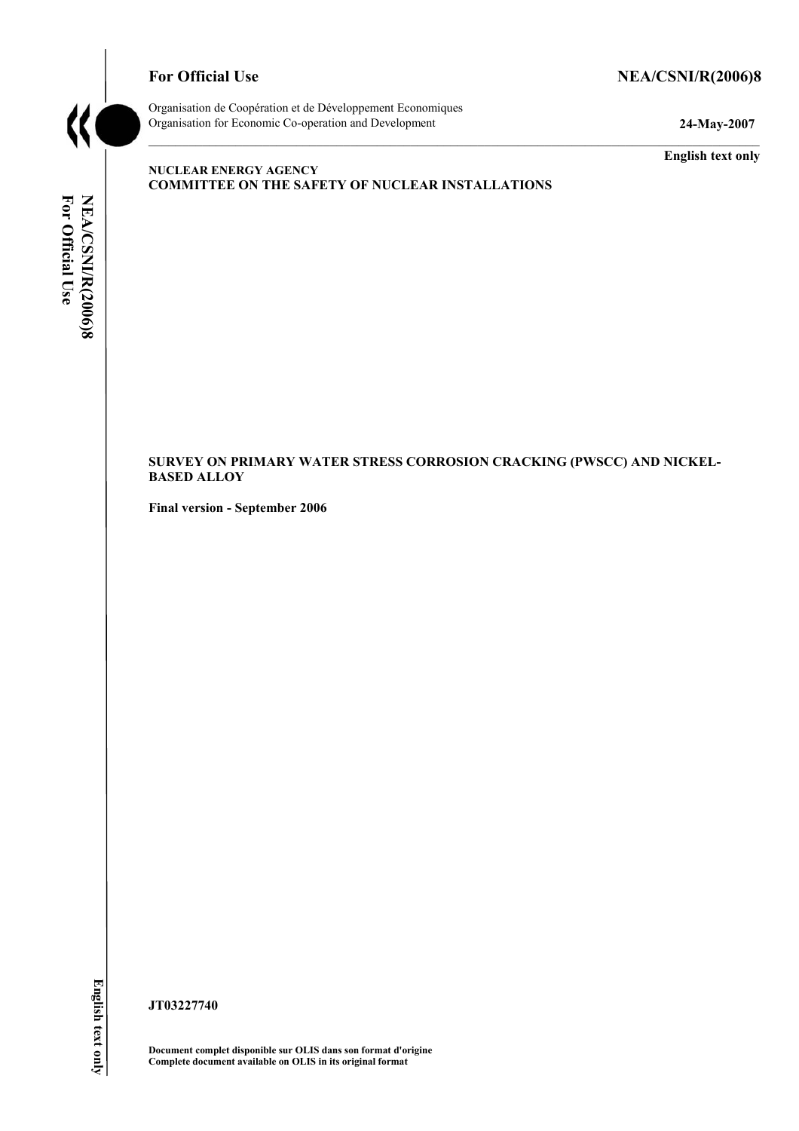# For Official Use NEA/CSNI/R(2006)8



Organisation de CoopÈration et de DÈveloppement Economiques Organisation for Economic Co-operation and Development **24-May-2007** 

**English text only** 

## **NUCLEAR ENERGY AGENCY COMMITTEE ON THE SAFETY OF NUCLEAR INSTALLATIONS**

For Official Use NEA/CSNI/R(2006)8 **For Official Use NEA/CSNI/R(2006)8 English text only** 

## **SURVEY ON PRIMARY WATER STRESS CORROSION CRACKING (PWSCC) AND NICKEL-BASED ALLOY**

**Final version - September 2006** 

**JT03227740** 

**Document complet disponible sur OLIS dans son format d'origine Complete document available on OLIS in its original format**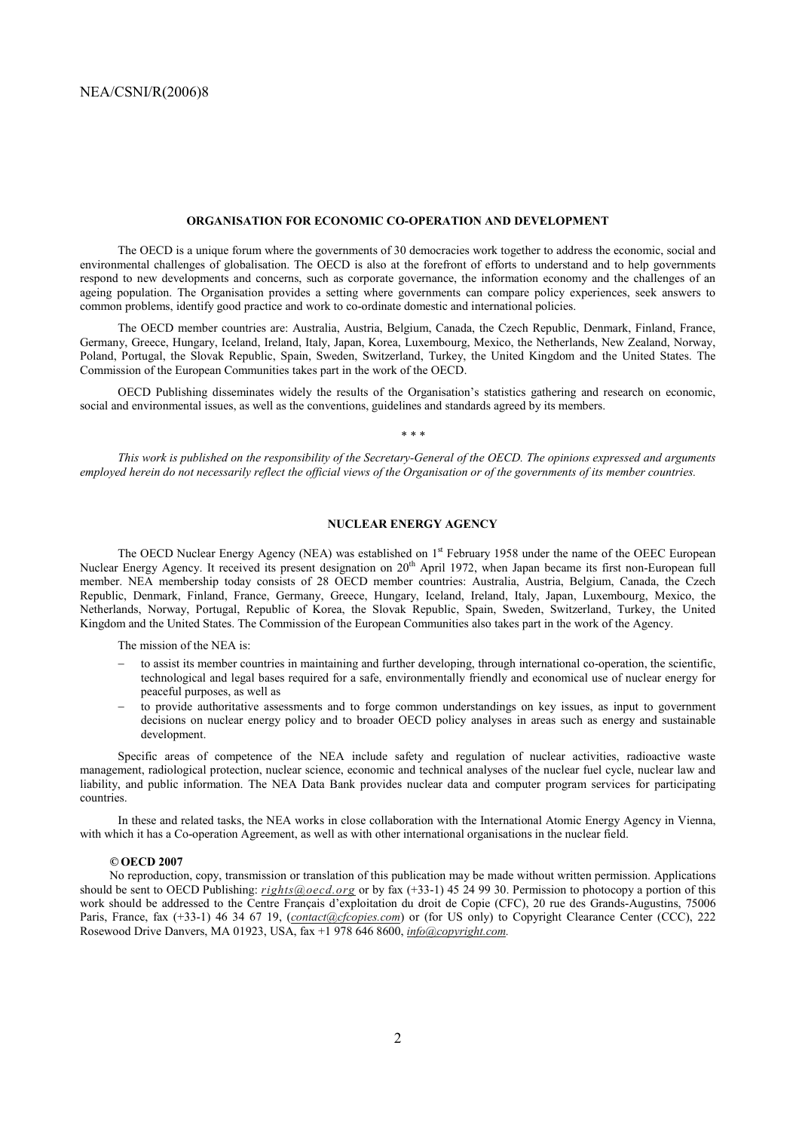#### **ORGANISATION FOR ECONOMIC CO-OPERATION AND DEVELOPMENT**

 The OECD is a unique forum where the governments of 30 democracies work together to address the economic, social and environmental challenges of globalisation. The OECD is also at the forefront of efforts to understand and to help governments respond to new developments and concerns, such as corporate governance, the information economy and the challenges of an ageing population. The Organisation provides a setting where governments can compare policy experiences, seek answers to common problems, identify good practice and work to co-ordinate domestic and international policies.

 The OECD member countries are: Australia, Austria, Belgium, Canada, the Czech Republic, Denmark, Finland, France, Germany, Greece, Hungary, Iceland, Ireland, Italy, Japan, Korea, Luxembourg, Mexico, the Netherlands, New Zealand, Norway, Poland, Portugal, the Slovak Republic, Spain, Sweden, Switzerland, Turkey, the United Kingdom and the United States. The Commission of the European Communities takes part in the work of the OECD.

 OECD Publishing disseminates widely the results of the Organisationís statistics gathering and research on economic, social and environmental issues, as well as the conventions, guidelines and standards agreed by its members.

*\* \* \** 

 *This work is published on the responsibility of the Secretary-General of the OECD. The opinions expressed and arguments employed herein do not necessarily reflect the official views of the Organisation or of the governments of its member countries.* 

#### **NUCLEAR ENERGY AGENCY**

The OECD Nuclear Energy Agency (NEA) was established on 1<sup>st</sup> February 1958 under the name of the OEEC European Nuclear Energy Agency. It received its present designation on 20<sup>th</sup> April 1972, when Japan became its first non-European full member. NEA membership today consists of 28 OECD member countries: Australia, Austria, Belgium, Canada, the Czech Republic, Denmark, Finland, France, Germany, Greece, Hungary, Iceland, Ireland, Italy, Japan, Luxembourg, Mexico, the Netherlands, Norway, Portugal, Republic of Korea, the Slovak Republic, Spain, Sweden, Switzerland, Turkey, the United Kingdom and the United States. The Commission of the European Communities also takes part in the work of the Agency.

The mission of the NEA is:

- − to assist its member countries in maintaining and further developing, through international co-operation, the scientific, technological and legal bases required for a safe, environmentally friendly and economical use of nuclear energy for peaceful purposes, as well as
- − to provide authoritative assessments and to forge common understandings on key issues, as input to government decisions on nuclear energy policy and to broader OECD policy analyses in areas such as energy and sustainable development.

 Specific areas of competence of the NEA include safety and regulation of nuclear activities, radioactive waste management, radiological protection, nuclear science, economic and technical analyses of the nuclear fuel cycle, nuclear law and liability, and public information. The NEA Data Bank provides nuclear data and computer program services for participating countries.

 In these and related tasks, the NEA works in close collaboration with the International Atomic Energy Agency in Vienna, with which it has a Co-operation Agreement, as well as with other international organisations in the nuclear field.

#### *©* **OECD 2007**

No reproduction, copy, transmission or translation of this publication may be made without written permission. Applications should be sent to OECD Publishing: *rights@oecd.org* or by fax (+33-1) 45 24 99 30. Permission to photocopy a portion of this work should be addressed to the Centre Français d'exploitation du droit de Copie (CFC), 20 rue des Grands-Augustins, 75006 Paris, France, fax (+33-1) 46 34 67 19, (*contact@cfcopies.com*) or (for US only) to Copyright Clearance Center (CCC), 222 Rosewood Drive Danvers, MA 01923, USA, fax +1 978 646 8600, *info@copyright.com.*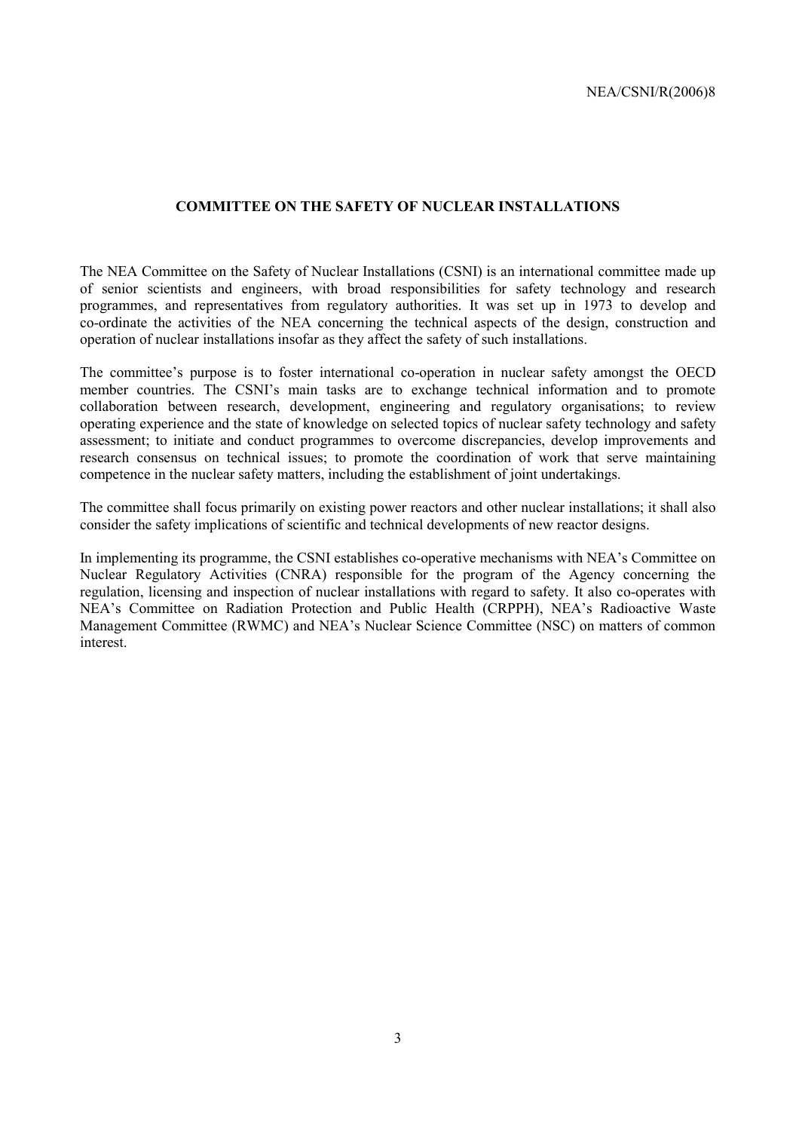## **COMMITTEE ON THE SAFETY OF NUCLEAR INSTALLATIONS**

The NEA Committee on the Safety of Nuclear Installations (CSNI) is an international committee made up of senior scientists and engineers, with broad responsibilities for safety technology and research programmes, and representatives from regulatory authorities. It was set up in 1973 to develop and co-ordinate the activities of the NEA concerning the technical aspects of the design, construction and operation of nuclear installations insofar as they affect the safety of such installations.

The committee's purpose is to foster international co-operation in nuclear safety amongst the OECD member countries. The CSNI's main tasks are to exchange technical information and to promote collaboration between research, development, engineering and regulatory organisations; to review operating experience and the state of knowledge on selected topics of nuclear safety technology and safety assessment; to initiate and conduct programmes to overcome discrepancies, develop improvements and research consensus on technical issues; to promote the coordination of work that serve maintaining competence in the nuclear safety matters, including the establishment of joint undertakings.

The committee shall focus primarily on existing power reactors and other nuclear installations; it shall also consider the safety implications of scientific and technical developments of new reactor designs.

In implementing its programme, the CSNI establishes co-operative mechanisms with NEA's Committee on Nuclear Regulatory Activities (CNRA) responsible for the program of the Agency concerning the regulation, licensing and inspection of nuclear installations with regard to safety. It also co-operates with NEA's Committee on Radiation Protection and Public Health (CRPPH), NEA's Radioactive Waste Management Committee (RWMC) and NEA's Nuclear Science Committee (NSC) on matters of common interest.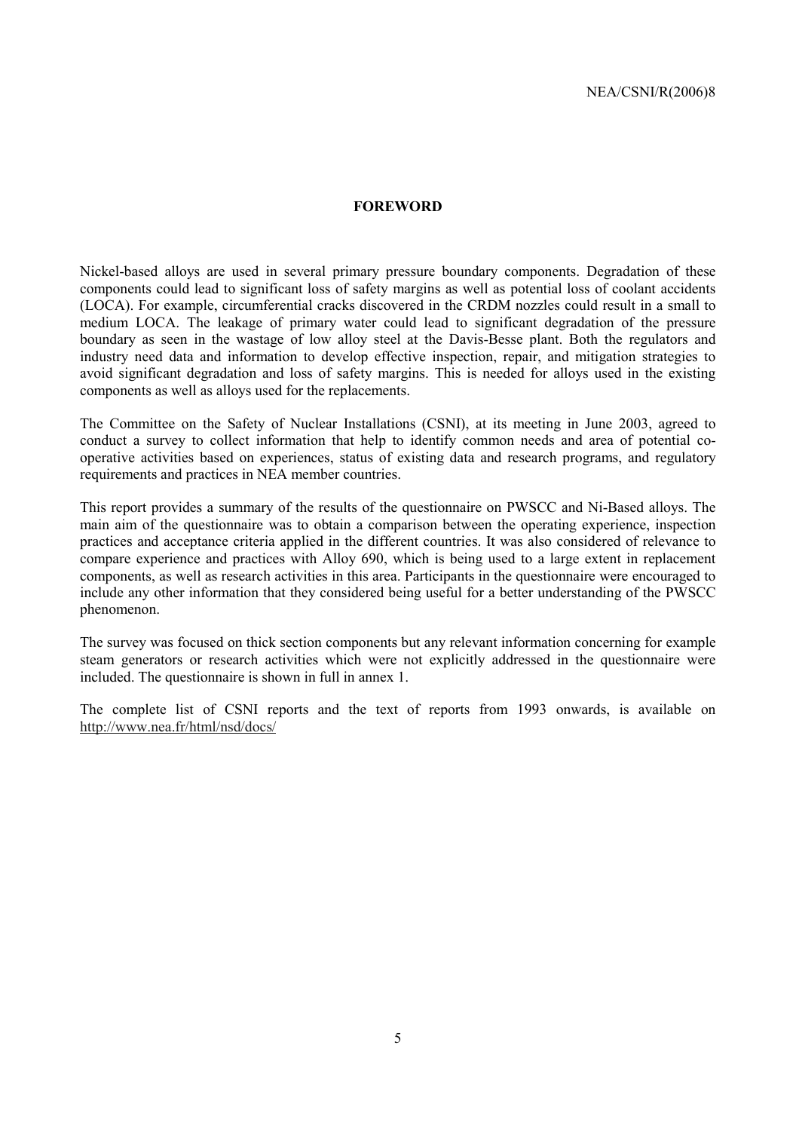#### **FOREWORD**

Nickel-based alloys are used in several primary pressure boundary components. Degradation of these components could lead to significant loss of safety margins as well as potential loss of coolant accidents (LOCA). For example, circumferential cracks discovered in the CRDM nozzles could result in a small to medium LOCA. The leakage of primary water could lead to significant degradation of the pressure boundary as seen in the wastage of low alloy steel at the Davis-Besse plant. Both the regulators and industry need data and information to develop effective inspection, repair, and mitigation strategies to avoid significant degradation and loss of safety margins. This is needed for alloys used in the existing components as well as alloys used for the replacements.

The Committee on the Safety of Nuclear Installations (CSNI), at its meeting in June 2003, agreed to conduct a survey to collect information that help to identify common needs and area of potential cooperative activities based on experiences, status of existing data and research programs, and regulatory requirements and practices in NEA member countries.

This report provides a summary of the results of the questionnaire on PWSCC and Ni-Based alloys. The main aim of the questionnaire was to obtain a comparison between the operating experience, inspection practices and acceptance criteria applied in the different countries. It was also considered of relevance to compare experience and practices with Alloy 690, which is being used to a large extent in replacement components, as well as research activities in this area. Participants in the questionnaire were encouraged to include any other information that they considered being useful for a better understanding of the PWSCC phenomenon.

The survey was focused on thick section components but any relevant information concerning for example steam generators or research activities which were not explicitly addressed in the questionnaire were included. The questionnaire is shown in full in annex 1.

The complete list of CSNI reports and the text of reports from 1993 onwards, is available on http://www.nea.fr/html/nsd/docs/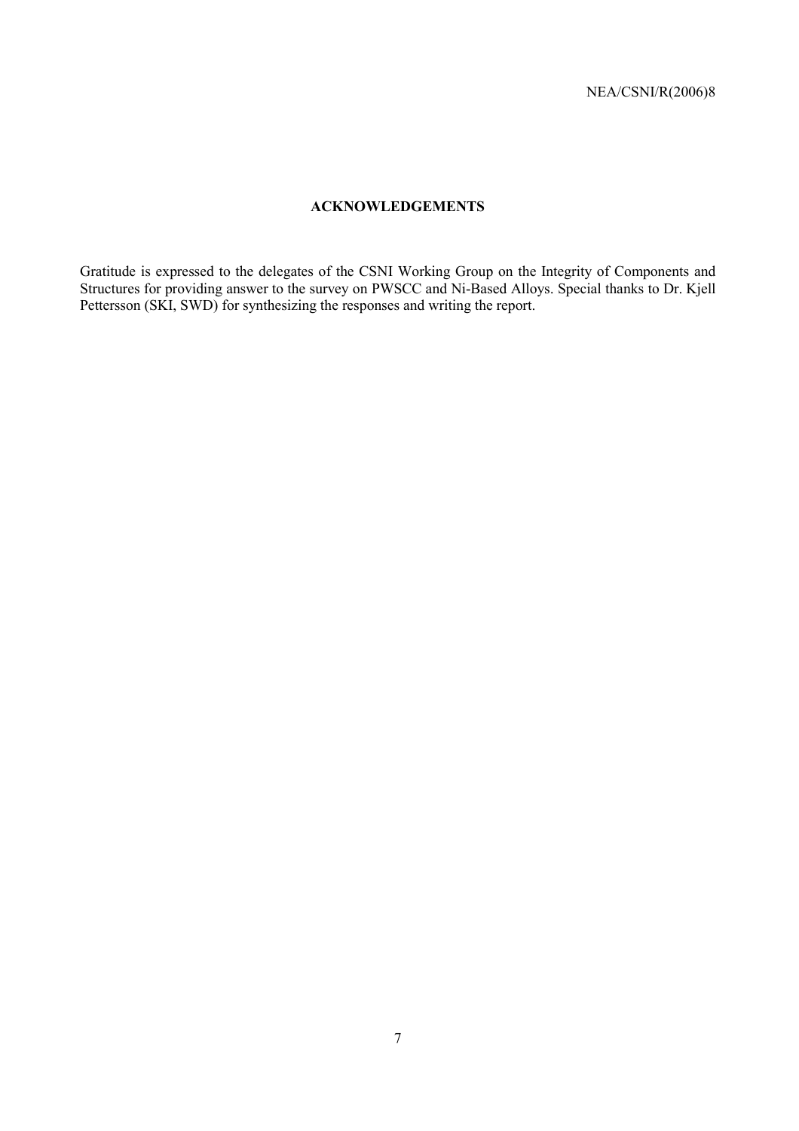# **ACKNOWLEDGEMENTS**

Gratitude is expressed to the delegates of the CSNI Working Group on the Integrity of Components and Structures for providing answer to the survey on PWSCC and Ni-Based Alloys. Special thanks to Dr. Kjell Pettersson (SKI, SWD) for synthesizing the responses and writing the report.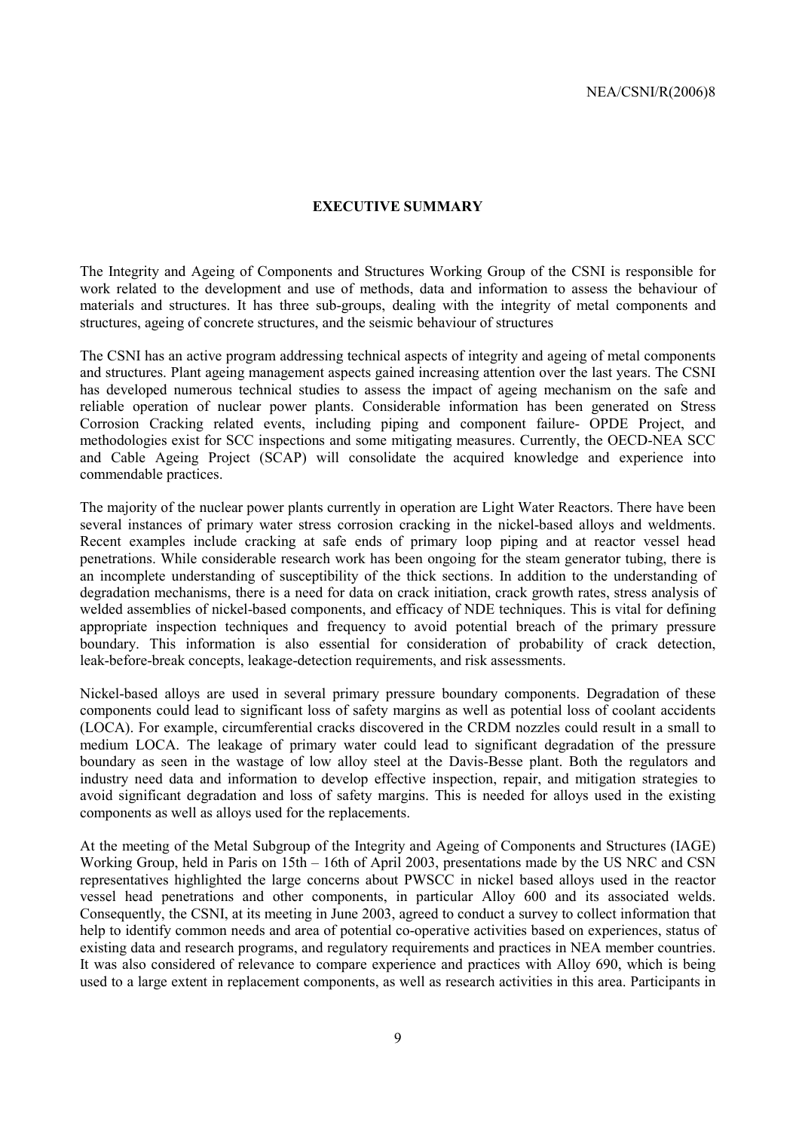## **EXECUTIVE SUMMARY**

The Integrity and Ageing of Components and Structures Working Group of the CSNI is responsible for work related to the development and use of methods, data and information to assess the behaviour of materials and structures. It has three sub-groups, dealing with the integrity of metal components and structures, ageing of concrete structures, and the seismic behaviour of structures

The CSNI has an active program addressing technical aspects of integrity and ageing of metal components and structures. Plant ageing management aspects gained increasing attention over the last years. The CSNI has developed numerous technical studies to assess the impact of ageing mechanism on the safe and reliable operation of nuclear power plants. Considerable information has been generated on Stress Corrosion Cracking related events, including piping and component failure- OPDE Project, and methodologies exist for SCC inspections and some mitigating measures. Currently, the OECD-NEA SCC and Cable Ageing Project (SCAP) will consolidate the acquired knowledge and experience into commendable practices.

The majority of the nuclear power plants currently in operation are Light Water Reactors. There have been several instances of primary water stress corrosion cracking in the nickel-based alloys and weldments. Recent examples include cracking at safe ends of primary loop piping and at reactor vessel head penetrations. While considerable research work has been ongoing for the steam generator tubing, there is an incomplete understanding of susceptibility of the thick sections. In addition to the understanding of degradation mechanisms, there is a need for data on crack initiation, crack growth rates, stress analysis of welded assemblies of nickel-based components, and efficacy of NDE techniques. This is vital for defining appropriate inspection techniques and frequency to avoid potential breach of the primary pressure boundary. This information is also essential for consideration of probability of crack detection, leak-before-break concepts, leakage-detection requirements, and risk assessments.

Nickel-based alloys are used in several primary pressure boundary components. Degradation of these components could lead to significant loss of safety margins as well as potential loss of coolant accidents (LOCA). For example, circumferential cracks discovered in the CRDM nozzles could result in a small to medium LOCA. The leakage of primary water could lead to significant degradation of the pressure boundary as seen in the wastage of low alloy steel at the Davis-Besse plant. Both the regulators and industry need data and information to develop effective inspection, repair, and mitigation strategies to avoid significant degradation and loss of safety margins. This is needed for alloys used in the existing components as well as alloys used for the replacements.

At the meeting of the Metal Subgroup of the Integrity and Ageing of Components and Structures (IAGE) Working Group, held in Paris on  $15th - 16th$  of April 2003, presentations made by the US NRC and CSN representatives highlighted the large concerns about PWSCC in nickel based alloys used in the reactor vessel head penetrations and other components, in particular Alloy 600 and its associated welds. Consequently, the CSNI, at its meeting in June 2003, agreed to conduct a survey to collect information that help to identify common needs and area of potential co-operative activities based on experiences, status of existing data and research programs, and regulatory requirements and practices in NEA member countries. It was also considered of relevance to compare experience and practices with Alloy 690, which is being used to a large extent in replacement components, as well as research activities in this area. Participants in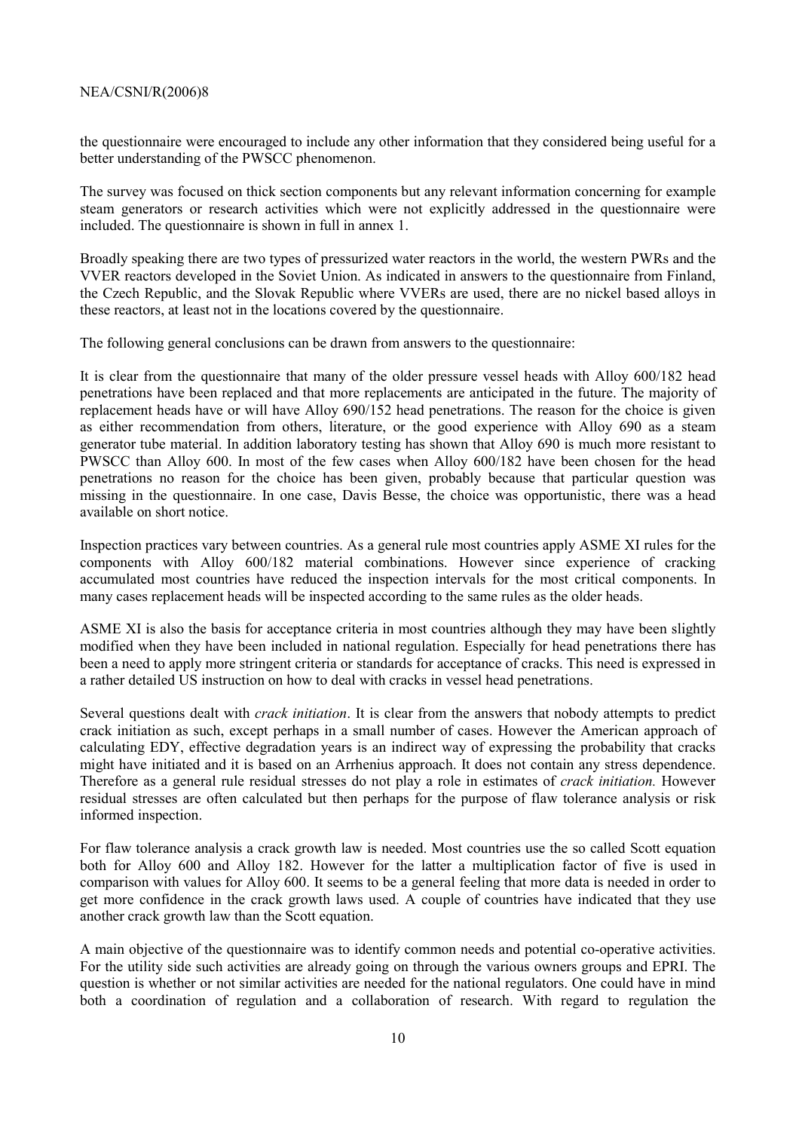the questionnaire were encouraged to include any other information that they considered being useful for a better understanding of the PWSCC phenomenon.

The survey was focused on thick section components but any relevant information concerning for example steam generators or research activities which were not explicitly addressed in the questionnaire were included. The questionnaire is shown in full in annex 1.

Broadly speaking there are two types of pressurized water reactors in the world, the western PWRs and the VVER reactors developed in the Soviet Union. As indicated in answers to the questionnaire from Finland, the Czech Republic, and the Slovak Republic where VVERs are used, there are no nickel based alloys in these reactors, at least not in the locations covered by the questionnaire.

The following general conclusions can be drawn from answers to the questionnaire:

It is clear from the questionnaire that many of the older pressure vessel heads with Alloy 600/182 head penetrations have been replaced and that more replacements are anticipated in the future. The majority of replacement heads have or will have Alloy 690/152 head penetrations. The reason for the choice is given as either recommendation from others, literature, or the good experience with Alloy 690 as a steam generator tube material. In addition laboratory testing has shown that Alloy 690 is much more resistant to PWSCC than Alloy 600. In most of the few cases when Alloy 600/182 have been chosen for the head penetrations no reason for the choice has been given, probably because that particular question was missing in the questionnaire. In one case, Davis Besse, the choice was opportunistic, there was a head available on short notice.

Inspection practices vary between countries. As a general rule most countries apply ASME XI rules for the components with Alloy 600/182 material combinations. However since experience of cracking accumulated most countries have reduced the inspection intervals for the most critical components. In many cases replacement heads will be inspected according to the same rules as the older heads.

ASME XI is also the basis for acceptance criteria in most countries although they may have been slightly modified when they have been included in national regulation. Especially for head penetrations there has been a need to apply more stringent criteria or standards for acceptance of cracks. This need is expressed in a rather detailed US instruction on how to deal with cracks in vessel head penetrations.

Several questions dealt with *crack initiation*. It is clear from the answers that nobody attempts to predict crack initiation as such, except perhaps in a small number of cases. However the American approach of calculating EDY, effective degradation years is an indirect way of expressing the probability that cracks might have initiated and it is based on an Arrhenius approach. It does not contain any stress dependence. Therefore as a general rule residual stresses do not play a role in estimates of *crack initiation.* However residual stresses are often calculated but then perhaps for the purpose of flaw tolerance analysis or risk informed inspection.

For flaw tolerance analysis a crack growth law is needed. Most countries use the so called Scott equation both for Alloy 600 and Alloy 182. However for the latter a multiplication factor of five is used in comparison with values for Alloy 600. It seems to be a general feeling that more data is needed in order to get more confidence in the crack growth laws used. A couple of countries have indicated that they use another crack growth law than the Scott equation.

A main objective of the questionnaire was to identify common needs and potential co-operative activities. For the utility side such activities are already going on through the various owners groups and EPRI. The question is whether or not similar activities are needed for the national regulators. One could have in mind both a coordination of regulation and a collaboration of research. With regard to regulation the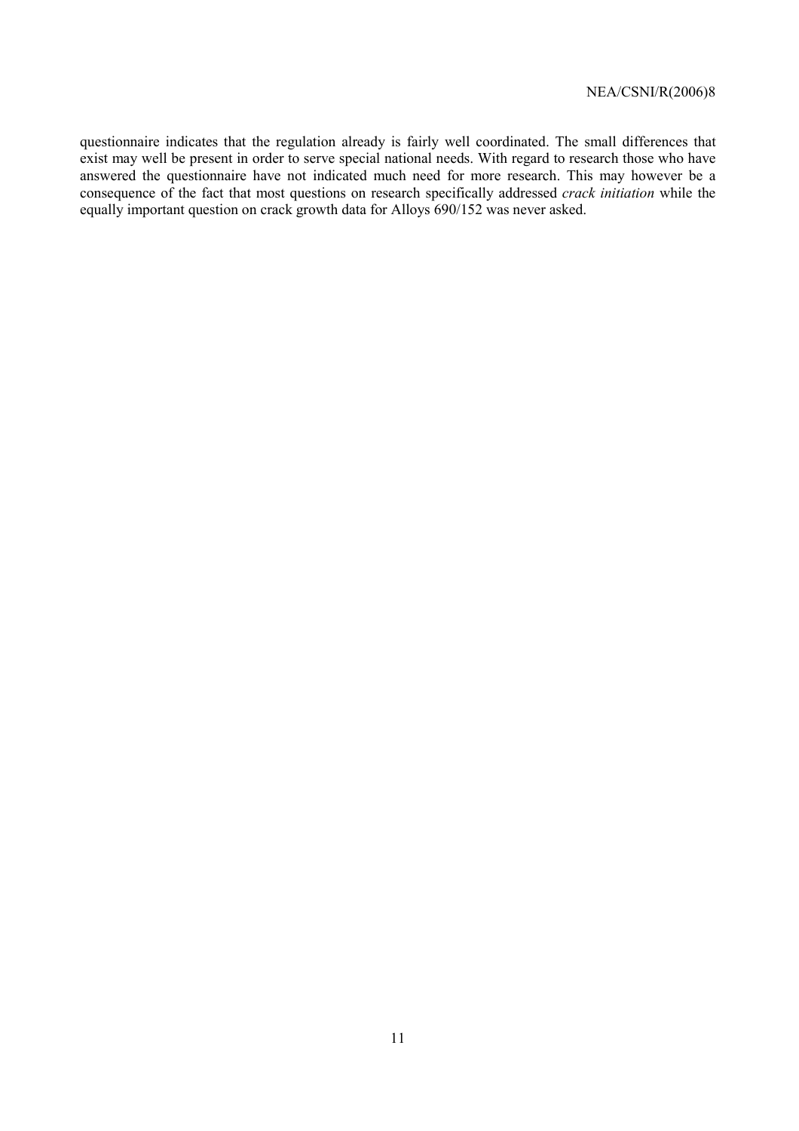questionnaire indicates that the regulation already is fairly well coordinated. The small differences that exist may well be present in order to serve special national needs. With regard to research those who have answered the questionnaire have not indicated much need for more research. This may however be a consequence of the fact that most questions on research specifically addressed *crack initiation* while the equally important question on crack growth data for Alloys 690/152 was never asked.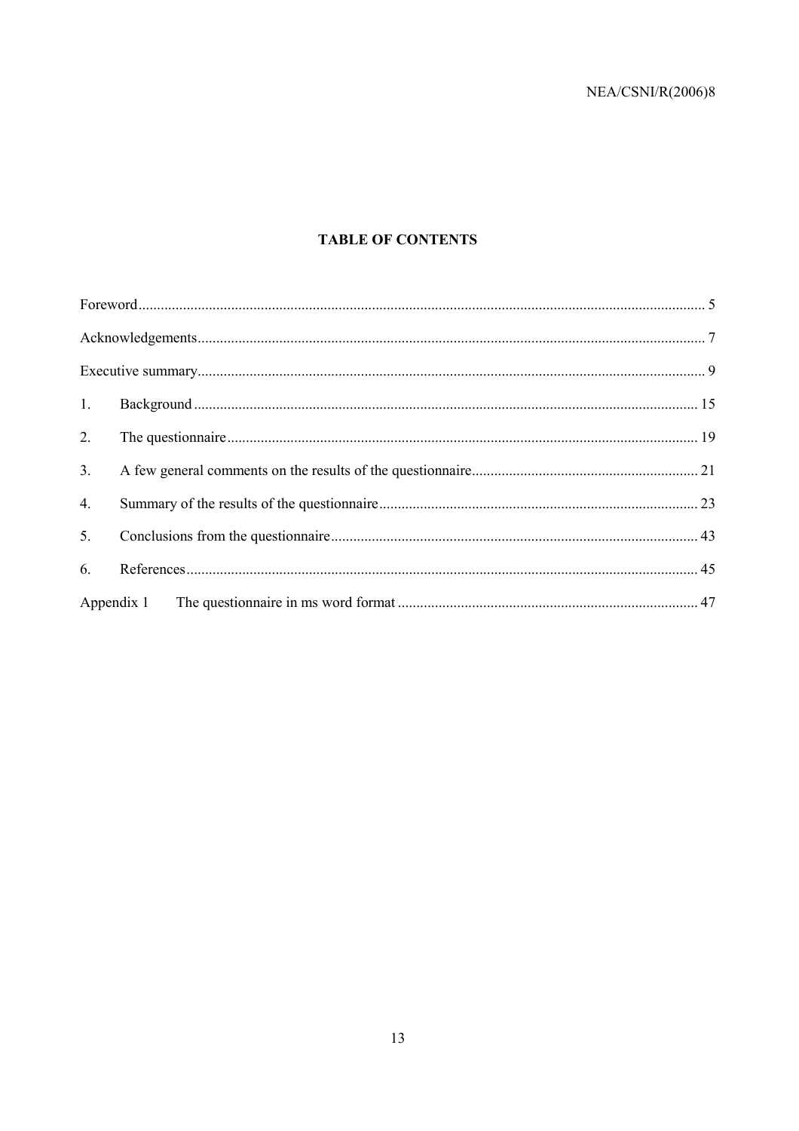# **TABLE OF CONTENTS**

| 1.             |  |
|----------------|--|
| 2.             |  |
| 3 <sub>1</sub> |  |
| 4.             |  |
| 5.             |  |
| 6.             |  |
|                |  |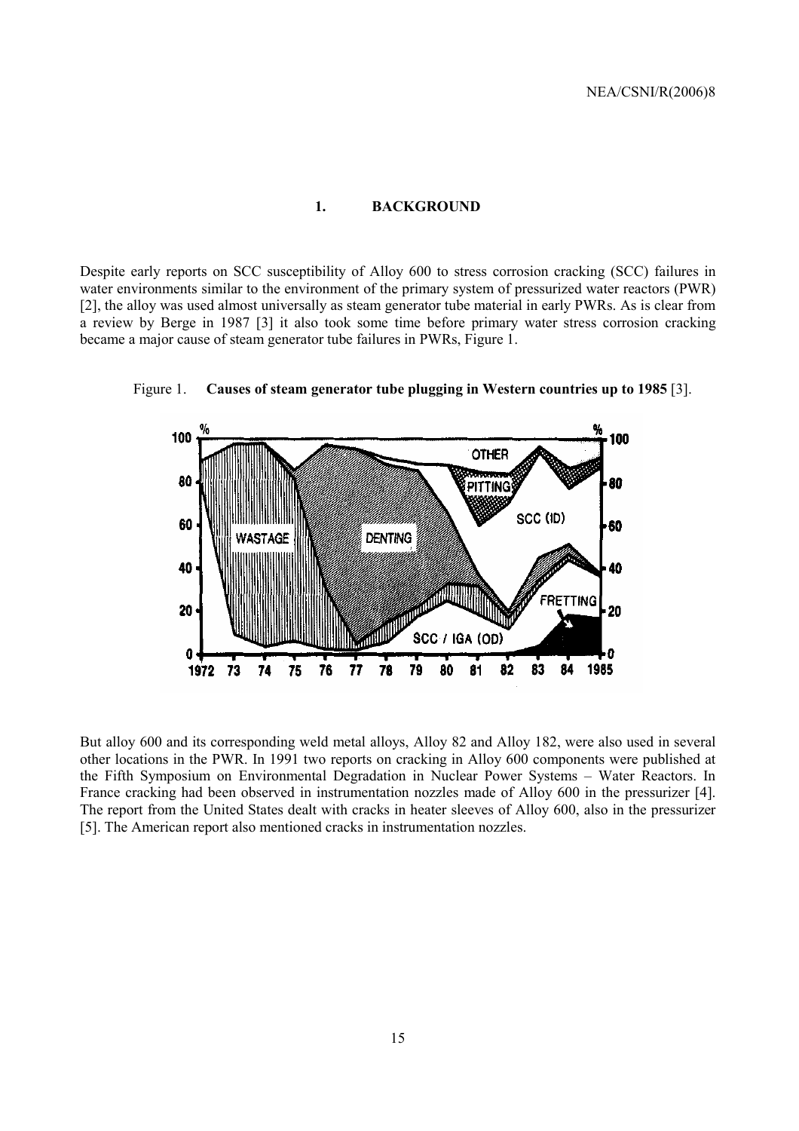#### **1. BACKGROUND**

Despite early reports on SCC susceptibility of Alloy 600 to stress corrosion cracking (SCC) failures in water environments similar to the environment of the primary system of pressurized water reactors (PWR) [2], the alloy was used almost universally as steam generator tube material in early PWRs. As is clear from a review by Berge in 1987 [3] it also took some time before primary water stress corrosion cracking became a major cause of steam generator tube failures in PWRs, Figure 1.



Figure 1. **Causes of steam generator tube plugging in Western countries up to 1985** [3].

But alloy 600 and its corresponding weld metal alloys, Alloy 82 and Alloy 182, were also used in several other locations in the PWR. In 1991 two reports on cracking in Alloy 600 components were published at the Fifth Symposium on Environmental Degradation in Nuclear Power Systems – Water Reactors. In France cracking had been observed in instrumentation nozzles made of Alloy 600 in the pressurizer [4]. The report from the United States dealt with cracks in heater sleeves of Alloy 600, also in the pressurizer [5]. The American report also mentioned cracks in instrumentation nozzles.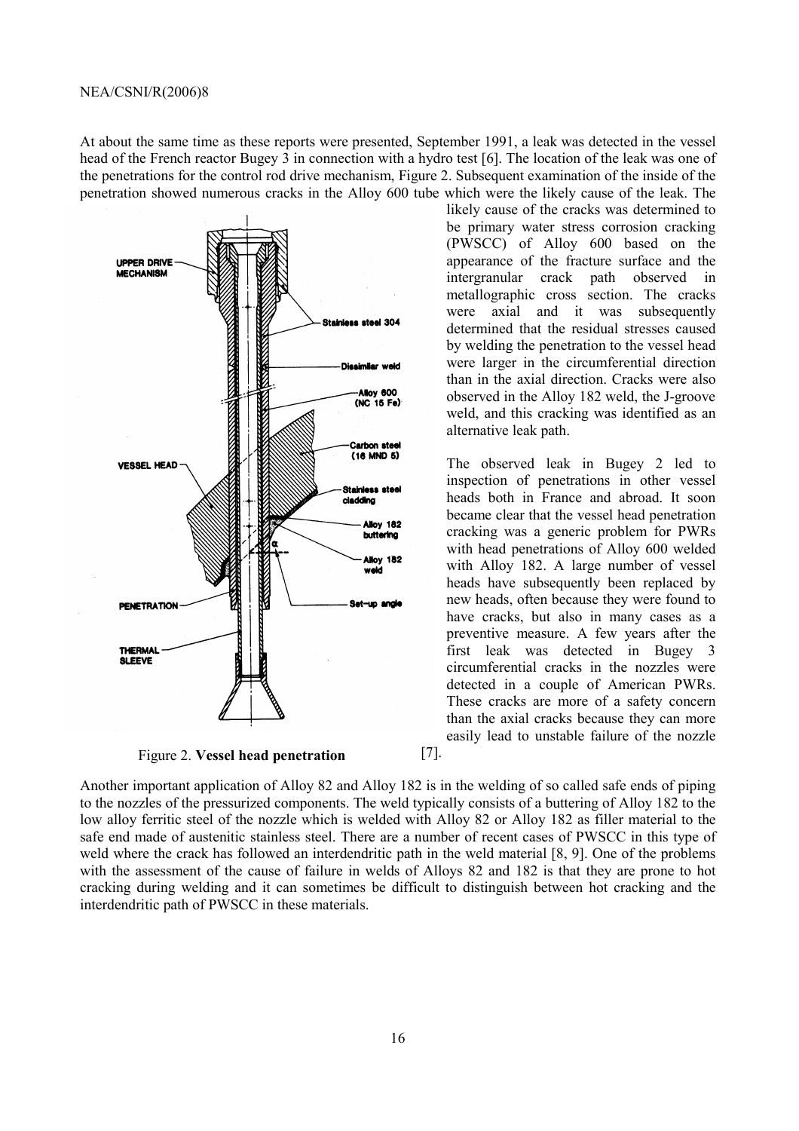At about the same time as these reports were presented, September 1991, a leak was detected in the vessel head of the French reactor Bugey 3 in connection with a hydro test [6]. The location of the leak was one of the penetrations for the control rod drive mechanism, Figure 2. Subsequent examination of the inside of the penetration showed numerous cracks in the Alloy 600 tube which were the likely cause of the leak. The



Figure 2. **Vessel head penetration**

likely cause of the cracks was determined to be primary water stress corrosion cracking (PWSCC) of Alloy 600 based on the appearance of the fracture surface and the intergranular crack path observed in metallographic cross section. The cracks were axial and it was subsequently determined that the residual stresses caused by welding the penetration to the vessel head were larger in the circumferential direction than in the axial direction. Cracks were also observed in the Alloy 182 weld, the J-groove weld, and this cracking was identified as an alternative leak path.

The observed leak in Bugey 2 led to inspection of penetrations in other vessel heads both in France and abroad. It soon became clear that the vessel head penetration cracking was a generic problem for PWRs with head penetrations of Alloy 600 welded with Alloy 182. A large number of vessel heads have subsequently been replaced by new heads, often because they were found to have cracks, but also in many cases as a preventive measure. A few years after the first leak was detected in Bugey 3 circumferential cracks in the nozzles were detected in a couple of American PWRs. These cracks are more of a safety concern than the axial cracks because they can more easily lead to unstable failure of the nozzle

Another important application of Alloy 82 and Alloy 182 is in the welding of so called safe ends of piping to the nozzles of the pressurized components. The weld typically consists of a buttering of Alloy 182 to the low alloy ferritic steel of the nozzle which is welded with Alloy 82 or Alloy 182 as filler material to the safe end made of austenitic stainless steel. There are a number of recent cases of PWSCC in this type of weld where the crack has followed an interdendritic path in the weld material [8, 9]. One of the problems with the assessment of the cause of failure in welds of Alloys 82 and 182 is that they are prone to hot cracking during welding and it can sometimes be difficult to distinguish between hot cracking and the interdendritic path of PWSCC in these materials.

[7].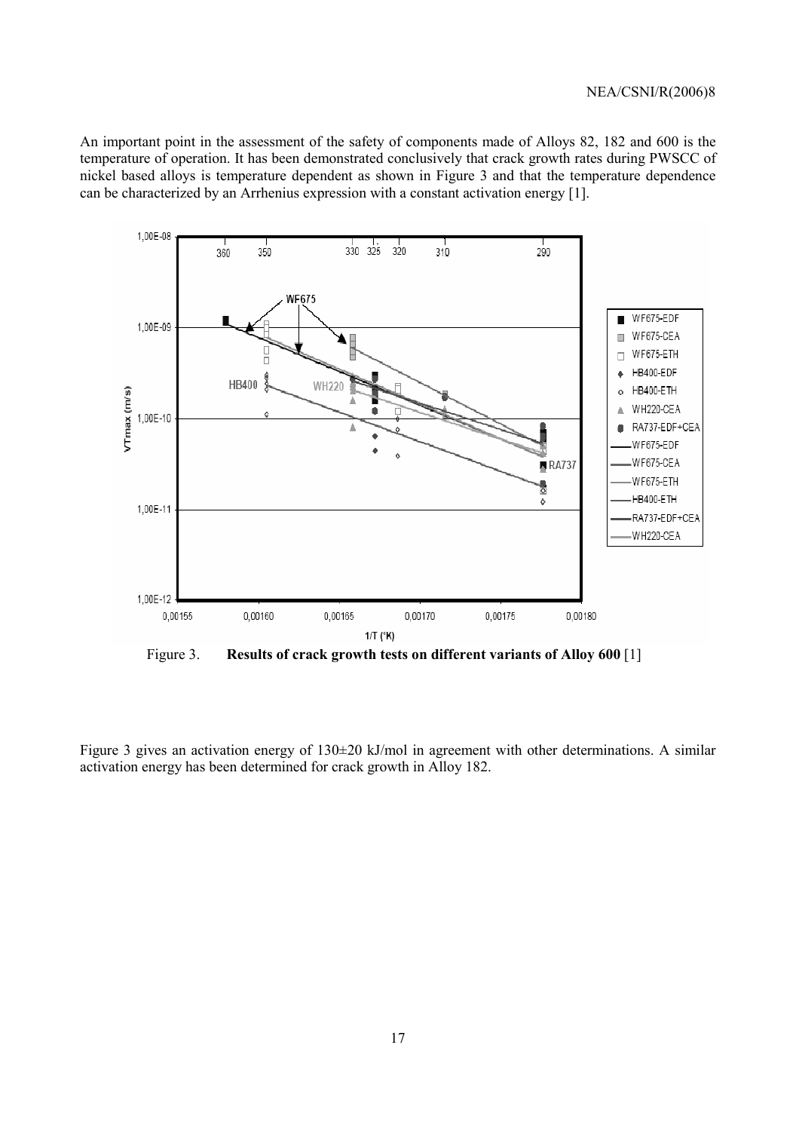An important point in the assessment of the safety of components made of Alloys 82, 182 and 600 is the temperature of operation. It has been demonstrated conclusively that crack growth rates during PWSCC of nickel based alloys is temperature dependent as shown in Figure 3 and that the temperature dependence can be characterized by an Arrhenius expression with a constant activation energy [1].



Figure 3. **Results of crack growth tests on different variants of Alloy 600** [1]

Figure 3 gives an activation energy of 130±20 kJ/mol in agreement with other determinations. A similar activation energy has been determined for crack growth in Alloy 182.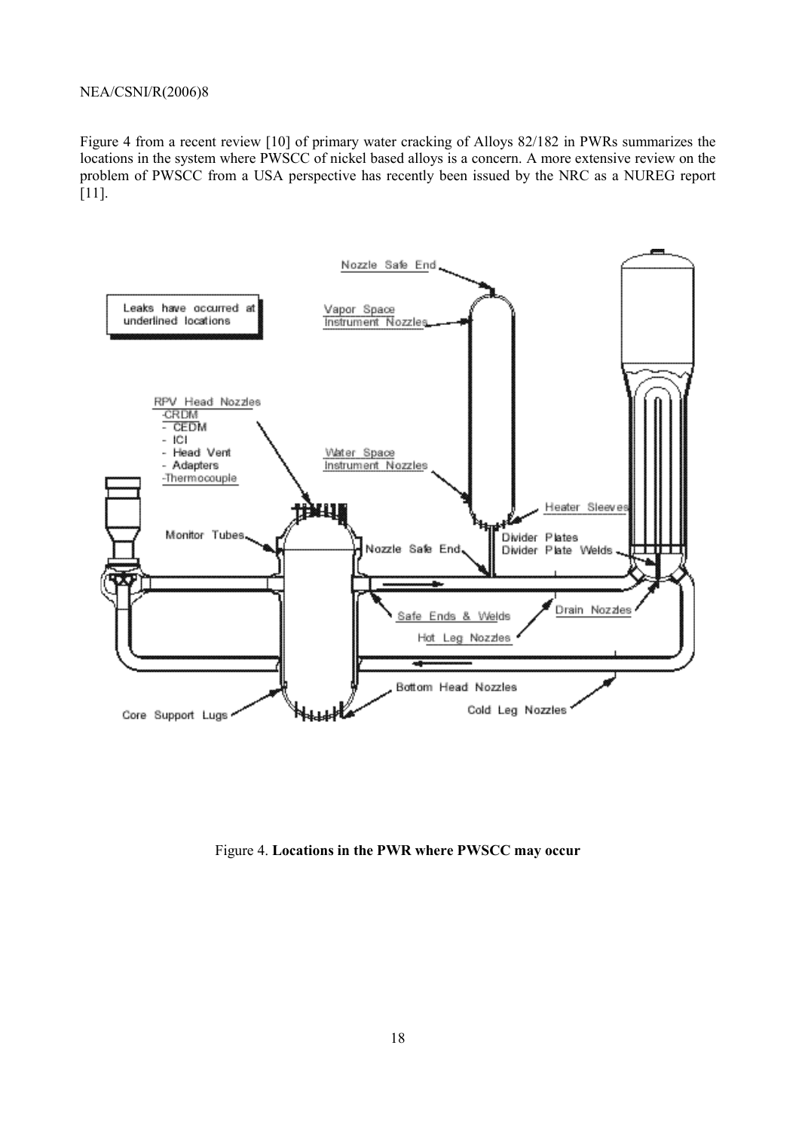Figure 4 from a recent review [10] of primary water cracking of Alloys 82/182 in PWRs summarizes the locations in the system where PWSCC of nickel based alloys is a concern. A more extensive review on the problem of PWSCC from a USA perspective has recently been issued by the NRC as a NUREG report [11].



Figure 4. **Locations in the PWR where PWSCC may occur**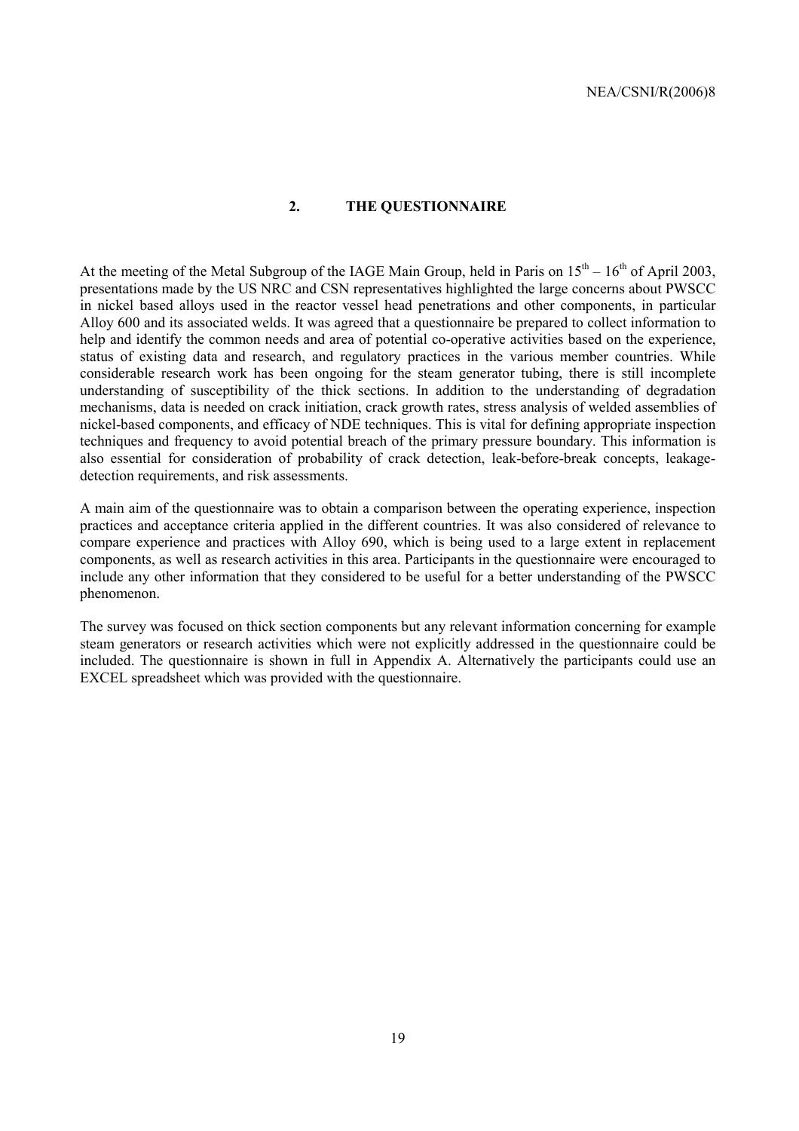## **2. THE QUESTIONNAIRE**

At the meeting of the Metal Subgroup of the IAGE Main Group, held in Paris on  $15<sup>th</sup> - 16<sup>th</sup>$  of April 2003, presentations made by the US NRC and CSN representatives highlighted the large concerns about PWSCC in nickel based alloys used in the reactor vessel head penetrations and other components, in particular Alloy 600 and its associated welds. It was agreed that a questionnaire be prepared to collect information to help and identify the common needs and area of potential co-operative activities based on the experience, status of existing data and research, and regulatory practices in the various member countries. While considerable research work has been ongoing for the steam generator tubing, there is still incomplete understanding of susceptibility of the thick sections. In addition to the understanding of degradation mechanisms, data is needed on crack initiation, crack growth rates, stress analysis of welded assemblies of nickel-based components, and efficacy of NDE techniques. This is vital for defining appropriate inspection techniques and frequency to avoid potential breach of the primary pressure boundary. This information is also essential for consideration of probability of crack detection, leak-before-break concepts, leakagedetection requirements, and risk assessments.

A main aim of the questionnaire was to obtain a comparison between the operating experience, inspection practices and acceptance criteria applied in the different countries. It was also considered of relevance to compare experience and practices with Alloy 690, which is being used to a large extent in replacement components, as well as research activities in this area. Participants in the questionnaire were encouraged to include any other information that they considered to be useful for a better understanding of the PWSCC phenomenon.

The survey was focused on thick section components but any relevant information concerning for example steam generators or research activities which were not explicitly addressed in the questionnaire could be included. The questionnaire is shown in full in Appendix A. Alternatively the participants could use an EXCEL spreadsheet which was provided with the questionnaire.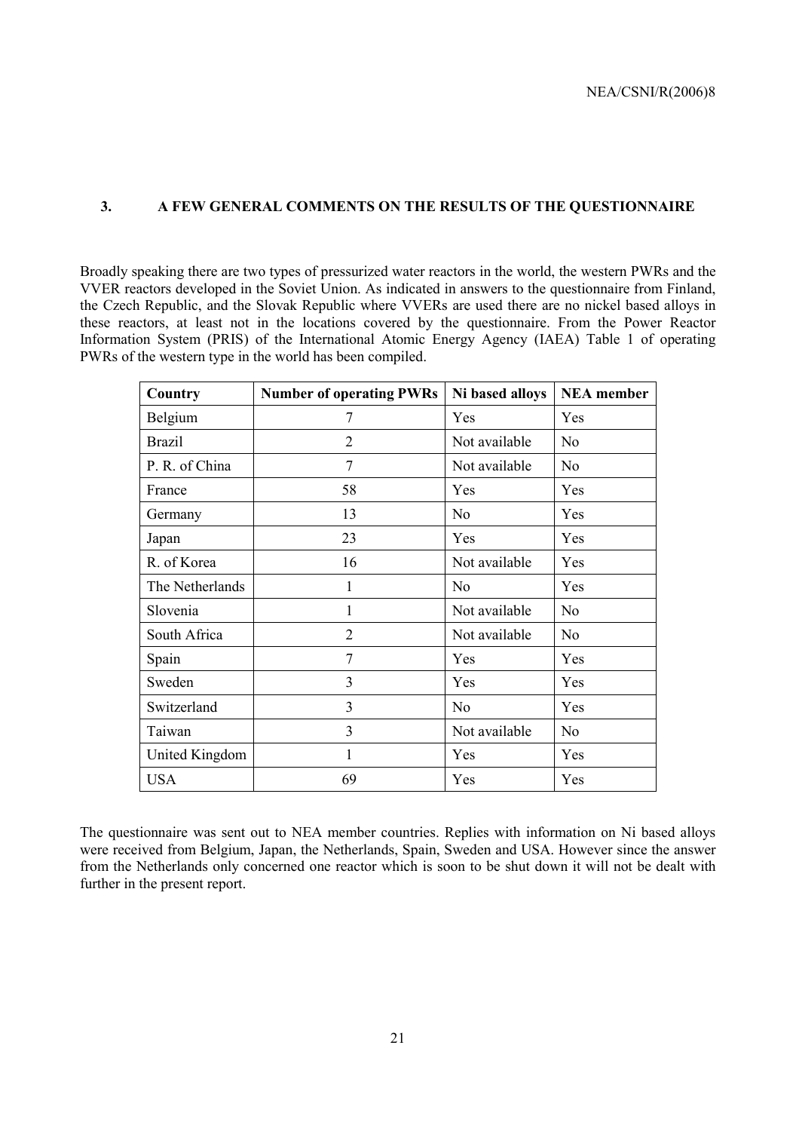## **3. A FEW GENERAL COMMENTS ON THE RESULTS OF THE QUESTIONNAIRE**

Broadly speaking there are two types of pressurized water reactors in the world, the western PWRs and the VVER reactors developed in the Soviet Union. As indicated in answers to the questionnaire from Finland, the Czech Republic, and the Slovak Republic where VVERs are used there are no nickel based alloys in these reactors, at least not in the locations covered by the questionnaire. From the Power Reactor Information System (PRIS) of the International Atomic Energy Agency (IAEA) Table 1 of operating PWRs of the western type in the world has been compiled.

| Country         | <b>Number of operating PWRs</b> | Ni based alloys | <b>NEA</b> member |
|-----------------|---------------------------------|-----------------|-------------------|
| Belgium         | 7                               | Yes             | Yes               |
| <b>Brazil</b>   | $\overline{2}$                  | Not available   | N <sub>o</sub>    |
| P. R. of China  | 7                               | Not available   | N <sub>0</sub>    |
| France          | 58                              | Yes             | Yes               |
| Germany         | 13                              | N <sub>0</sub>  | Yes               |
| Japan           | 23                              | Yes             | Yes               |
| R. of Korea     | 16                              | Not available   | Yes               |
| The Netherlands | 1                               | No              | Yes               |
| Slovenia        | 1                               | Not available   | N <sub>o</sub>    |
| South Africa    | $\overline{2}$                  | Not available   | N <sub>0</sub>    |
| Spain           | 7                               | Yes             | Yes               |
| Sweden          | 3                               | Yes             | Yes               |
| Switzerland     | 3                               | N <sub>0</sub>  | Yes               |
| Taiwan          | $\overline{3}$                  | Not available   | N <sub>o</sub>    |
| United Kingdom  | 1                               | Yes             | Yes               |
| <b>USA</b>      | 69                              | Yes             | Yes               |

The questionnaire was sent out to NEA member countries. Replies with information on Ni based alloys were received from Belgium, Japan, the Netherlands, Spain, Sweden and USA. However since the answer from the Netherlands only concerned one reactor which is soon to be shut down it will not be dealt with further in the present report.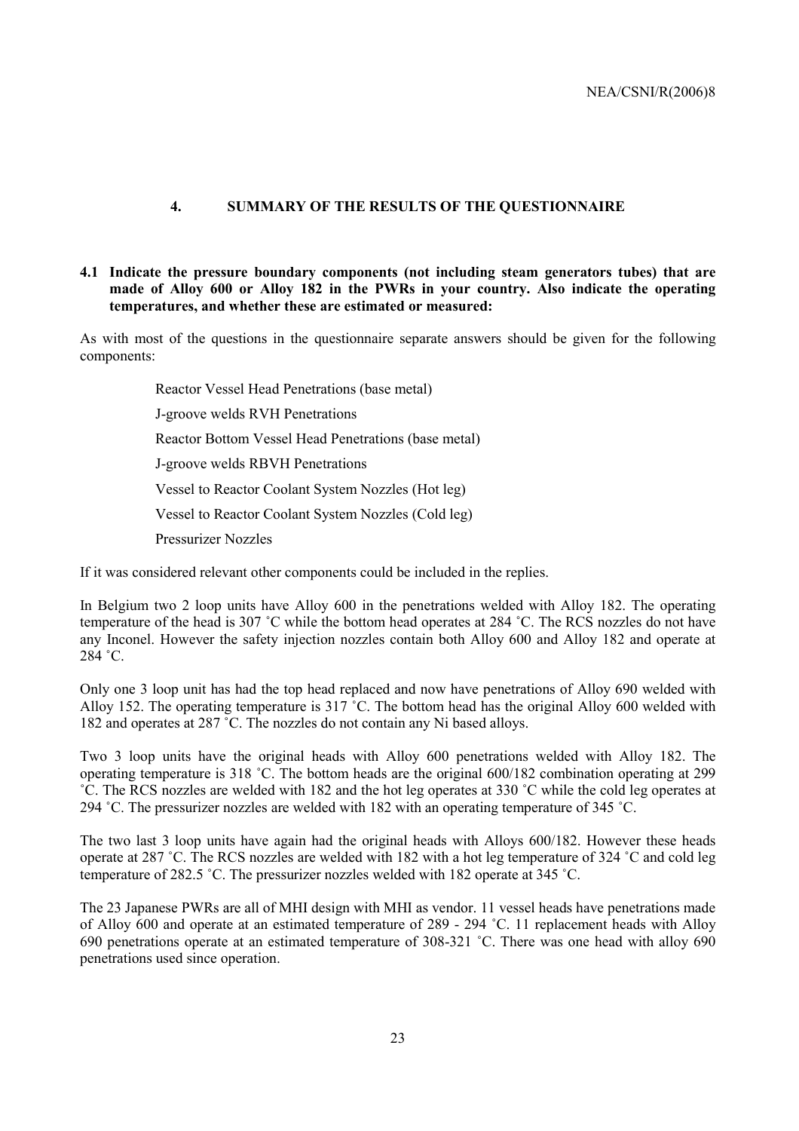## **4. SUMMARY OF THE RESULTS OF THE QUESTIONNAIRE**

## **4.1 Indicate the pressure boundary components (not including steam generators tubes) that are made of Alloy 600 or Alloy 182 in the PWRs in your country. Also indicate the operating temperatures, and whether these are estimated or measured:**

As with most of the questions in the questionnaire separate answers should be given for the following components:

Reactor Vessel Head Penetrations (base metal)

J-groove welds RVH Penetrations

Reactor Bottom Vessel Head Penetrations (base metal)

J-groove welds RBVH Penetrations

Vessel to Reactor Coolant System Nozzles (Hot leg)

Vessel to Reactor Coolant System Nozzles (Cold leg)

Pressurizer Nozzles

If it was considered relevant other components could be included in the replies.

In Belgium two 2 loop units have Alloy 600 in the penetrations welded with Alloy 182. The operating temperature of the head is 307 ˚C while the bottom head operates at 284 ˚C. The RCS nozzles do not have any Inconel. However the safety injection nozzles contain both Alloy 600 and Alloy 182 and operate at 284 ˚C.

Only one 3 loop unit has had the top head replaced and now have penetrations of Alloy 690 welded with Alloy 152. The operating temperature is 317 ˚C. The bottom head has the original Alloy 600 welded with 182 and operates at 287 ˚C. The nozzles do not contain any Ni based alloys.

Two 3 loop units have the original heads with Alloy 600 penetrations welded with Alloy 182. The operating temperature is 318 ˚C. The bottom heads are the original 600/182 combination operating at 299 ˚C. The RCS nozzles are welded with 182 and the hot leg operates at 330 ˚C while the cold leg operates at 294 ˚C. The pressurizer nozzles are welded with 182 with an operating temperature of 345 ˚C.

The two last 3 loop units have again had the original heads with Alloys 600/182. However these heads operate at 287 ˚C. The RCS nozzles are welded with 182 with a hot leg temperature of 324 ˚C and cold leg temperature of 282.5 ˚C. The pressurizer nozzles welded with 182 operate at 345 ˚C.

The 23 Japanese PWRs are all of MHI design with MHI as vendor. 11 vessel heads have penetrations made of Alloy 600 and operate at an estimated temperature of 289 - 294 ˚C. 11 replacement heads with Alloy 690 penetrations operate at an estimated temperature of 308-321 ˚C. There was one head with alloy 690 penetrations used since operation.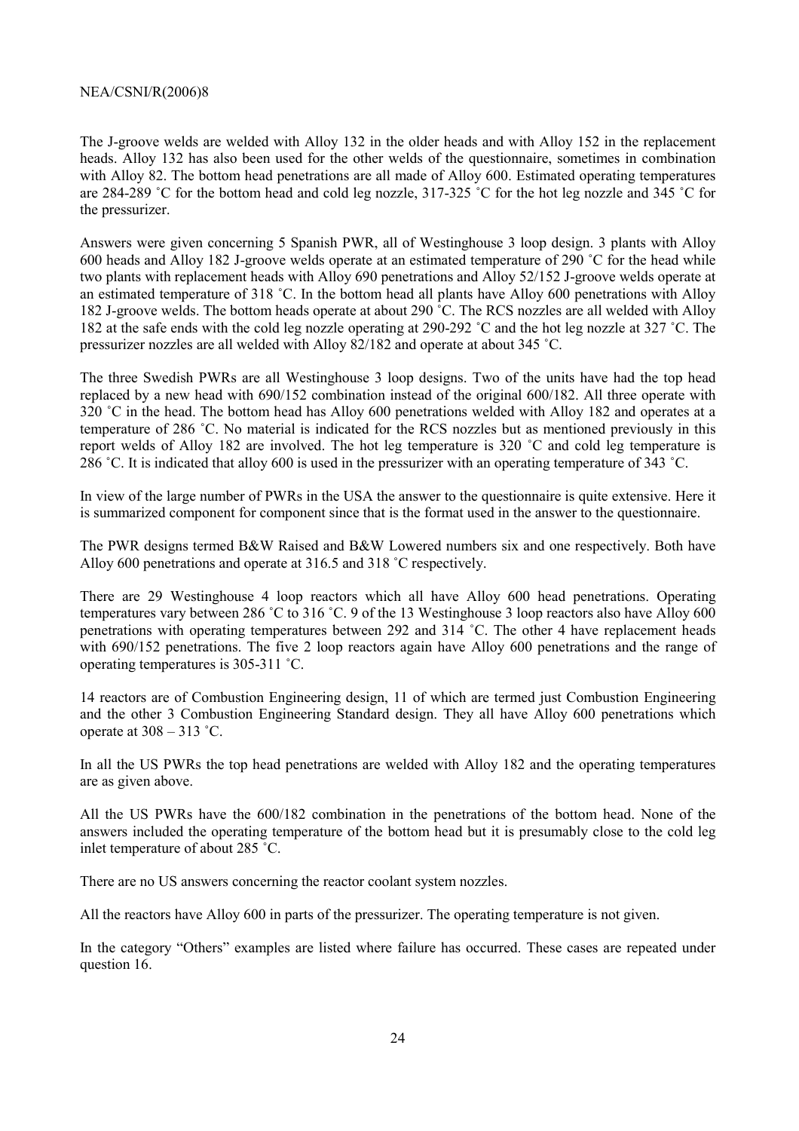The J-groove welds are welded with Alloy 132 in the older heads and with Alloy 152 in the replacement heads. Alloy 132 has also been used for the other welds of the questionnaire, sometimes in combination with Alloy 82. The bottom head penetrations are all made of Alloy 600. Estimated operating temperatures are 284-289 ˚C for the bottom head and cold leg nozzle, 317-325 ˚C for the hot leg nozzle and 345 ˚C for the pressurizer.

Answers were given concerning 5 Spanish PWR, all of Westinghouse 3 loop design. 3 plants with Alloy 600 heads and Alloy 182 J-groove welds operate at an estimated temperature of 290 ˚C for the head while two plants with replacement heads with Alloy 690 penetrations and Alloy 52/152 J-groove welds operate at an estimated temperature of 318 ˚C. In the bottom head all plants have Alloy 600 penetrations with Alloy 182 J-groove welds. The bottom heads operate at about 290 ˚C. The RCS nozzles are all welded with Alloy 182 at the safe ends with the cold leg nozzle operating at 290-292 ˚C and the hot leg nozzle at 327 ˚C. The pressurizer nozzles are all welded with Alloy 82/182 and operate at about 345 ˚C.

The three Swedish PWRs are all Westinghouse 3 loop designs. Two of the units have had the top head replaced by a new head with 690/152 combination instead of the original 600/182. All three operate with 320 ˚C in the head. The bottom head has Alloy 600 penetrations welded with Alloy 182 and operates at a temperature of 286 ˚C. No material is indicated for the RCS nozzles but as mentioned previously in this report welds of Alloy 182 are involved. The hot leg temperature is 320 ˚C and cold leg temperature is 286 ˚C. It is indicated that alloy 600 is used in the pressurizer with an operating temperature of 343 ˚C.

In view of the large number of PWRs in the USA the answer to the questionnaire is quite extensive. Here it is summarized component for component since that is the format used in the answer to the questionnaire.

The PWR designs termed B&W Raised and B&W Lowered numbers six and one respectively. Both have Alloy 600 penetrations and operate at 316.5 and 318 ˚C respectively.

There are 29 Westinghouse 4 loop reactors which all have Alloy 600 head penetrations. Operating temperatures vary between 286 ˚C to 316 ˚C. 9 of the 13 Westinghouse 3 loop reactors also have Alloy 600 penetrations with operating temperatures between 292 and 314 ˚C. The other 4 have replacement heads with 690/152 penetrations. The five 2 loop reactors again have Alloy 600 penetrations and the range of operating temperatures is 305-311 ˚C.

14 reactors are of Combustion Engineering design, 11 of which are termed just Combustion Engineering and the other 3 Combustion Engineering Standard design. They all have Alloy 600 penetrations which operate at  $308 - 313$  °C.

In all the US PWRs the top head penetrations are welded with Alloy 182 and the operating temperatures are as given above.

All the US PWRs have the 600/182 combination in the penetrations of the bottom head. None of the answers included the operating temperature of the bottom head but it is presumably close to the cold leg inlet temperature of about 285 ˚C.

There are no US answers concerning the reactor coolant system nozzles.

All the reactors have Alloy 600 in parts of the pressurizer. The operating temperature is not given.

In the category "Others" examples are listed where failure has occurred. These cases are repeated under question 16.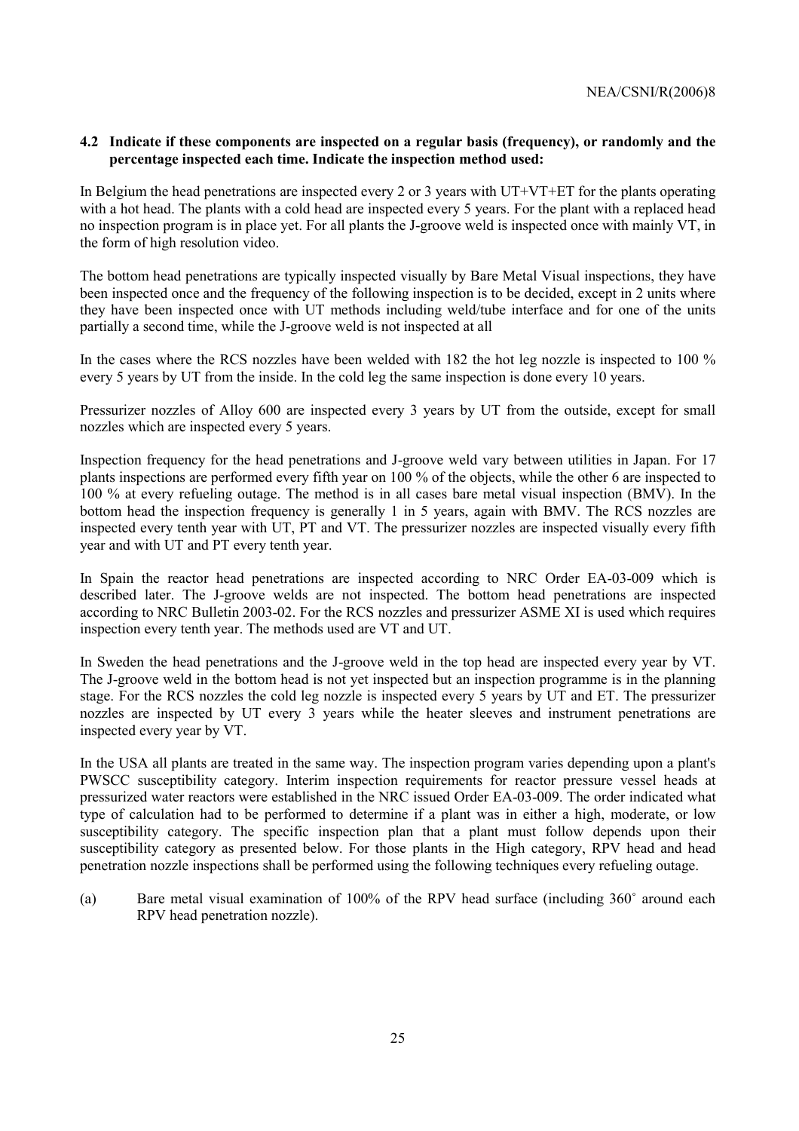## **4.2 Indicate if these components are inspected on a regular basis (frequency), or randomly and the percentage inspected each time. Indicate the inspection method used:**

In Belgium the head penetrations are inspected every 2 or 3 years with UT+VT+ET for the plants operating with a hot head. The plants with a cold head are inspected every 5 years. For the plant with a replaced head no inspection program is in place yet. For all plants the J-groove weld is inspected once with mainly VT, in the form of high resolution video.

The bottom head penetrations are typically inspected visually by Bare Metal Visual inspections, they have been inspected once and the frequency of the following inspection is to be decided, except in 2 units where they have been inspected once with UT methods including weld/tube interface and for one of the units partially a second time, while the J-groove weld is not inspected at all

In the cases where the RCS nozzles have been welded with 182 the hot leg nozzle is inspected to 100 % every 5 years by UT from the inside. In the cold leg the same inspection is done every 10 years.

Pressurizer nozzles of Alloy 600 are inspected every 3 years by UT from the outside, except for small nozzles which are inspected every 5 years.

Inspection frequency for the head penetrations and J-groove weld vary between utilities in Japan. For 17 plants inspections are performed every fifth year on 100 % of the objects, while the other 6 are inspected to 100 % at every refueling outage. The method is in all cases bare metal visual inspection (BMV). In the bottom head the inspection frequency is generally 1 in 5 years, again with BMV. The RCS nozzles are inspected every tenth year with UT, PT and VT. The pressurizer nozzles are inspected visually every fifth year and with UT and PT every tenth year.

In Spain the reactor head penetrations are inspected according to NRC Order EA-03-009 which is described later. The J-groove welds are not inspected. The bottom head penetrations are inspected according to NRC Bulletin 2003-02. For the RCS nozzles and pressurizer ASME XI is used which requires inspection every tenth year. The methods used are VT and UT.

In Sweden the head penetrations and the J-groove weld in the top head are inspected every year by VT. The J-groove weld in the bottom head is not yet inspected but an inspection programme is in the planning stage. For the RCS nozzles the cold leg nozzle is inspected every 5 years by UT and ET. The pressurizer nozzles are inspected by UT every 3 years while the heater sleeves and instrument penetrations are inspected every year by VT.

In the USA all plants are treated in the same way. The inspection program varies depending upon a plant's PWSCC susceptibility category. Interim inspection requirements for reactor pressure vessel heads at pressurized water reactors were established in the NRC issued Order EA-03-009. The order indicated what type of calculation had to be performed to determine if a plant was in either a high, moderate, or low susceptibility category. The specific inspection plan that a plant must follow depends upon their susceptibility category as presented below. For those plants in the High category, RPV head and head penetration nozzle inspections shall be performed using the following techniques every refueling outage.

(a) Bare metal visual examination of 100% of the RPV head surface (including 360˚ around each RPV head penetration nozzle).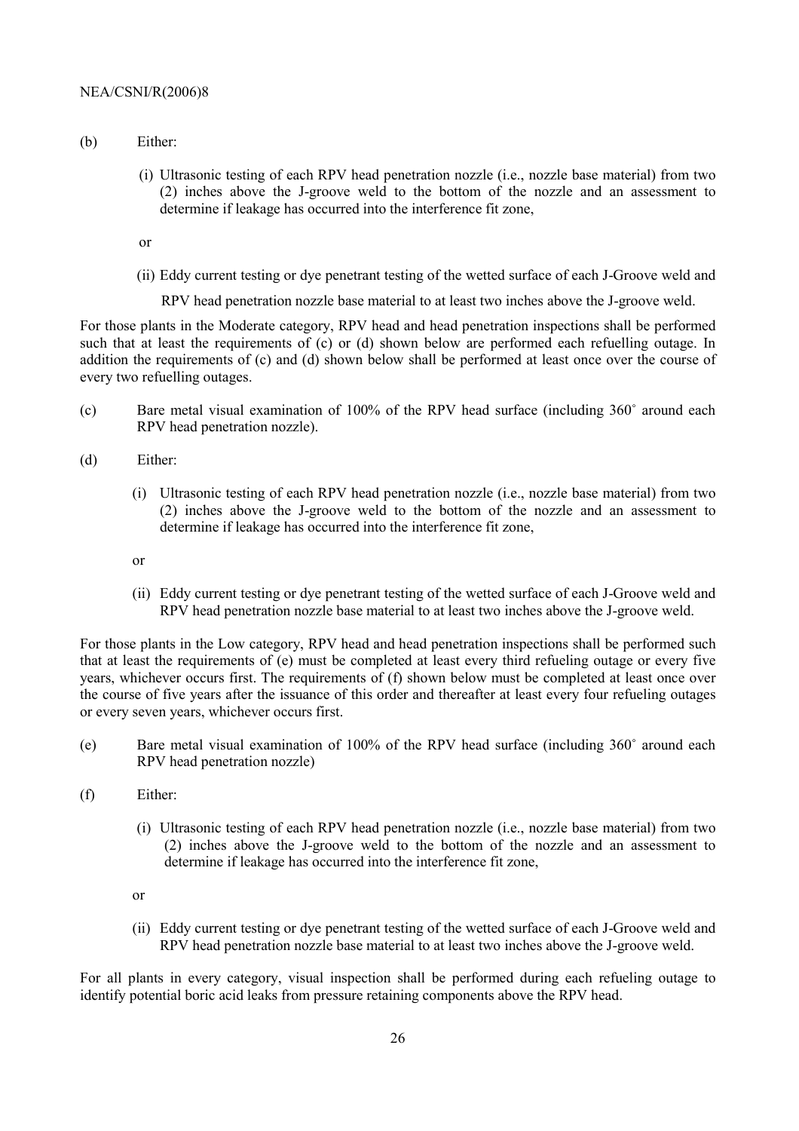- (b) Either:
	- (i) Ultrasonic testing of each RPV head penetration nozzle (i.e., nozzle base material) from two (2) inches above the J-groove weld to the bottom of the nozzle and an assessment to determine if leakage has occurred into the interference fit zone,

or

(ii) Eddy current testing or dye penetrant testing of the wetted surface of each J-Groove weld and

RPV head penetration nozzle base material to at least two inches above the J-groove weld.

For those plants in the Moderate category, RPV head and head penetration inspections shall be performed such that at least the requirements of (c) or (d) shown below are performed each refuelling outage. In addition the requirements of (c) and (d) shown below shall be performed at least once over the course of every two refuelling outages.

- (c) Bare metal visual examination of 100% of the RPV head surface (including 360˚ around each RPV head penetration nozzle).
- (d) Either:
	- (i) Ultrasonic testing of each RPV head penetration nozzle (i.e., nozzle base material) from two (2) inches above the J-groove weld to the bottom of the nozzle and an assessment to determine if leakage has occurred into the interference fit zone,
	- or
	- (ii) Eddy current testing or dye penetrant testing of the wetted surface of each J-Groove weld and RPV head penetration nozzle base material to at least two inches above the J-groove weld.

For those plants in the Low category, RPV head and head penetration inspections shall be performed such that at least the requirements of (e) must be completed at least every third refueling outage or every five years, whichever occurs first. The requirements of (f) shown below must be completed at least once over the course of five years after the issuance of this order and thereafter at least every four refueling outages or every seven years, whichever occurs first.

- (e) Bare metal visual examination of 100% of the RPV head surface (including 360˚ around each RPV head penetration nozzle)
- (f) Either:
	- (i) Ultrasonic testing of each RPV head penetration nozzle (i.e., nozzle base material) from two (2) inches above the J-groove weld to the bottom of the nozzle and an assessment to determine if leakage has occurred into the interference fit zone,

or

(ii) Eddy current testing or dye penetrant testing of the wetted surface of each J-Groove weld and RPV head penetration nozzle base material to at least two inches above the J-groove weld.

For all plants in every category, visual inspection shall be performed during each refueling outage to identify potential boric acid leaks from pressure retaining components above the RPV head.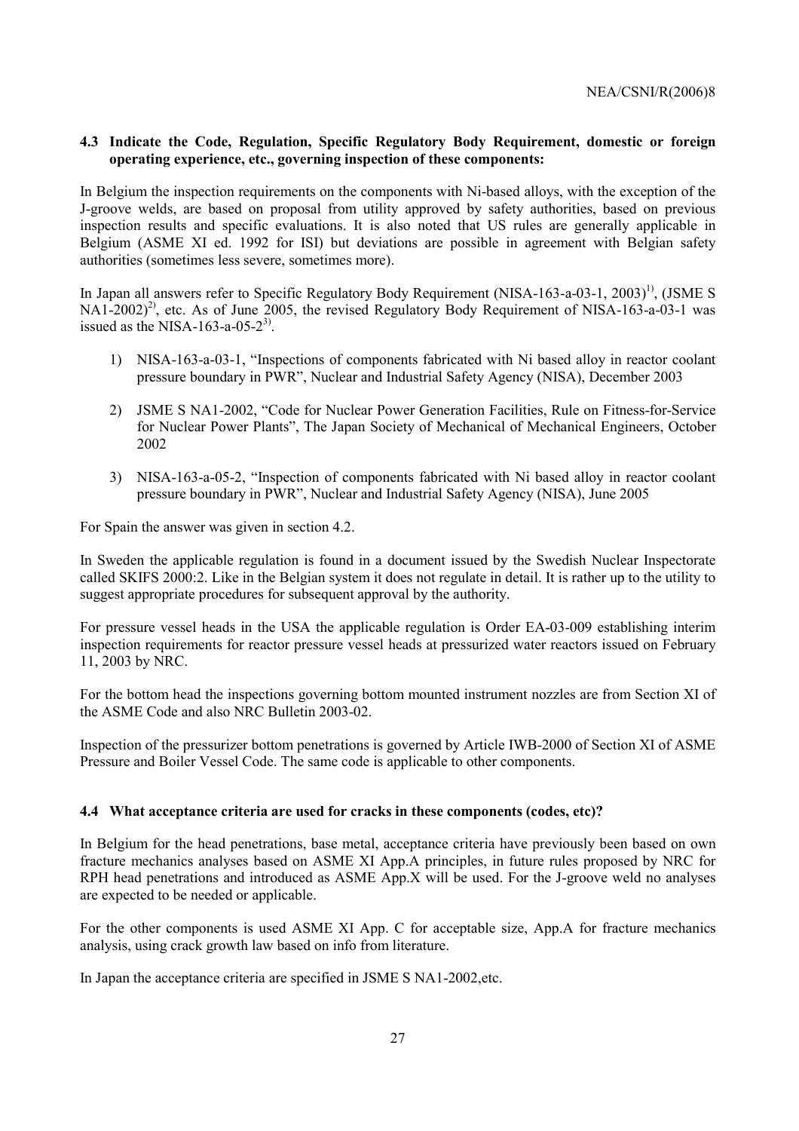## **4.3 Indicate the Code, Regulation, Specific Regulatory Body Requirement, domestic or foreign operating experience, etc., governing inspection of these components:**

In Belgium the inspection requirements on the components with Ni-based alloys, with the exception of the J-groove welds, are based on proposal from utility approved by safety authorities, based on previous inspection results and specific evaluations. It is also noted that US rules are generally applicable in Belgium (ASME XI ed. 1992 for ISI) but deviations are possible in agreement with Belgian safety authorities (sometimes less severe, sometimes more).

In Japan all answers refer to Specific Regulatory Body Requirement (NISA-163-a-03-1, 2003)<sup>1)</sup>, (JSME S  $NA1-2002)^{2}$ , etc. As of June 2005, the revised Regulatory Body Requirement of NISA-163-a-03-1 was issued as the NISA-163-a-05- $2^{3}$ .

- 1) NISA-163-a-03-1, "Inspections of components fabricated with Ni based alloy in reactor coolant pressure boundary in PWRî, Nuclear and Industrial Safety Agency (NISA), December 2003
- 2) JSME S NA1-2002, "Code for Nuclear Power Generation Facilities, Rule on Fitness-for-Service for Nuclear Power Plantsî, The Japan Society of Mechanical of Mechanical Engineers, October 2002
- 3) NISA-163-a-05-2, "Inspection of components fabricated with Ni based alloy in reactor coolant pressure boundary in PWRî, Nuclear and Industrial Safety Agency (NISA), June 2005

For Spain the answer was given in section 4.2.

In Sweden the applicable regulation is found in a document issued by the Swedish Nuclear Inspectorate called SKIFS 2000:2. Like in the Belgian system it does not regulate in detail. It is rather up to the utility to suggest appropriate procedures for subsequent approval by the authority.

For pressure vessel heads in the USA the applicable regulation is Order EA-03-009 establishing interim inspection requirements for reactor pressure vessel heads at pressurized water reactors issued on February 11, 2003 by NRC.

For the bottom head the inspections governing bottom mounted instrument nozzles are from Section XI of the ASME Code and also NRC Bulletin 2003-02.

Inspection of the pressurizer bottom penetrations is governed by Article IWB-2000 of Section XI of ASME Pressure and Boiler Vessel Code. The same code is applicable to other components.

## **4.4 What acceptance criteria are used for cracks in these components (codes, etc)?**

In Belgium for the head penetrations, base metal, acceptance criteria have previously been based on own fracture mechanics analyses based on ASME XI App.A principles, in future rules proposed by NRC for RPH head penetrations and introduced as ASME App.X will be used. For the J-groove weld no analyses are expected to be needed or applicable.

For the other components is used ASME XI App. C for acceptable size, App.A for fracture mechanics analysis, using crack growth law based on info from literature.

In Japan the acceptance criteria are specified in JSME S NA1-2002,etc.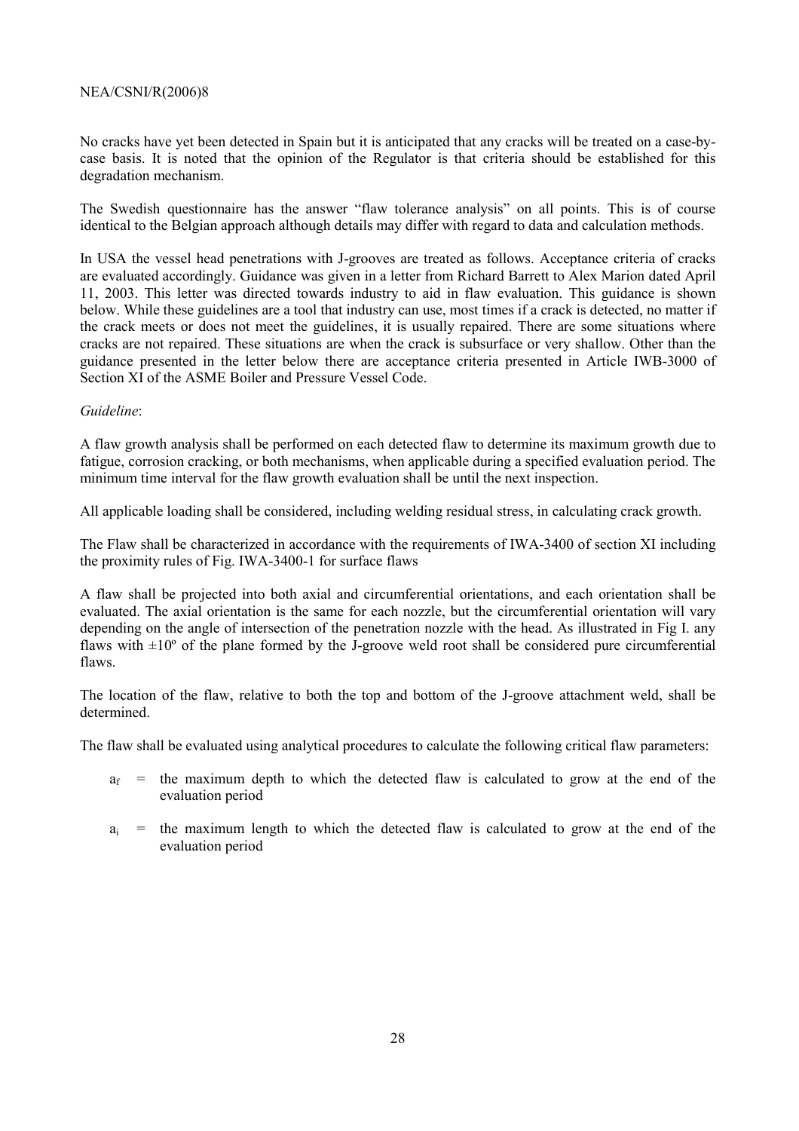No cracks have yet been detected in Spain but it is anticipated that any cracks will be treated on a case-bycase basis. It is noted that the opinion of the Regulator is that criteria should be established for this degradation mechanism.

The Swedish questionnaire has the answer "flaw tolerance analysis" on all points. This is of course identical to the Belgian approach although details may differ with regard to data and calculation methods.

In USA the vessel head penetrations with J-grooves are treated as follows. Acceptance criteria of cracks are evaluated accordingly. Guidance was given in a letter from Richard Barrett to Alex Marion dated April 11, 2003. This letter was directed towards industry to aid in flaw evaluation. This guidance is shown below. While these guidelines are a tool that industry can use, most times if a crack is detected, no matter if the crack meets or does not meet the guidelines, it is usually repaired. There are some situations where cracks are not repaired. These situations are when the crack is subsurface or very shallow. Other than the guidance presented in the letter below there are acceptance criteria presented in Article IWB-3000 of Section XI of the ASME Boiler and Pressure Vessel Code.

## *Guideline*:

A flaw growth analysis shall be performed on each detected flaw to determine its maximum growth due to fatigue, corrosion cracking, or both mechanisms, when applicable during a specified evaluation period. The minimum time interval for the flaw growth evaluation shall be until the next inspection.

All applicable loading shall be considered, including welding residual stress, in calculating crack growth.

The Flaw shall be characterized in accordance with the requirements of IWA-3400 of section XI including the proximity rules of Fig. IWA-3400-1 for surface flaws

A flaw shall be projected into both axial and circumferential orientations, and each orientation shall be evaluated. The axial orientation is the same for each nozzle, but the circumferential orientation will vary depending on the angle of intersection of the penetration nozzle with the head. As illustrated in Fig I. any flaws with  $\pm 10^{\circ}$  of the plane formed by the J-groove weld root shall be considered pure circumferential flaws.

The location of the flaw, relative to both the top and bottom of the J-groove attachment weld, shall be determined.

The flaw shall be evaluated using analytical procedures to calculate the following critical flaw parameters:

- $a_f$  = the maximum depth to which the detected flaw is calculated to grow at the end of the evaluation period
- $a_i$  = the maximum length to which the detected flaw is calculated to grow at the end of the evaluation period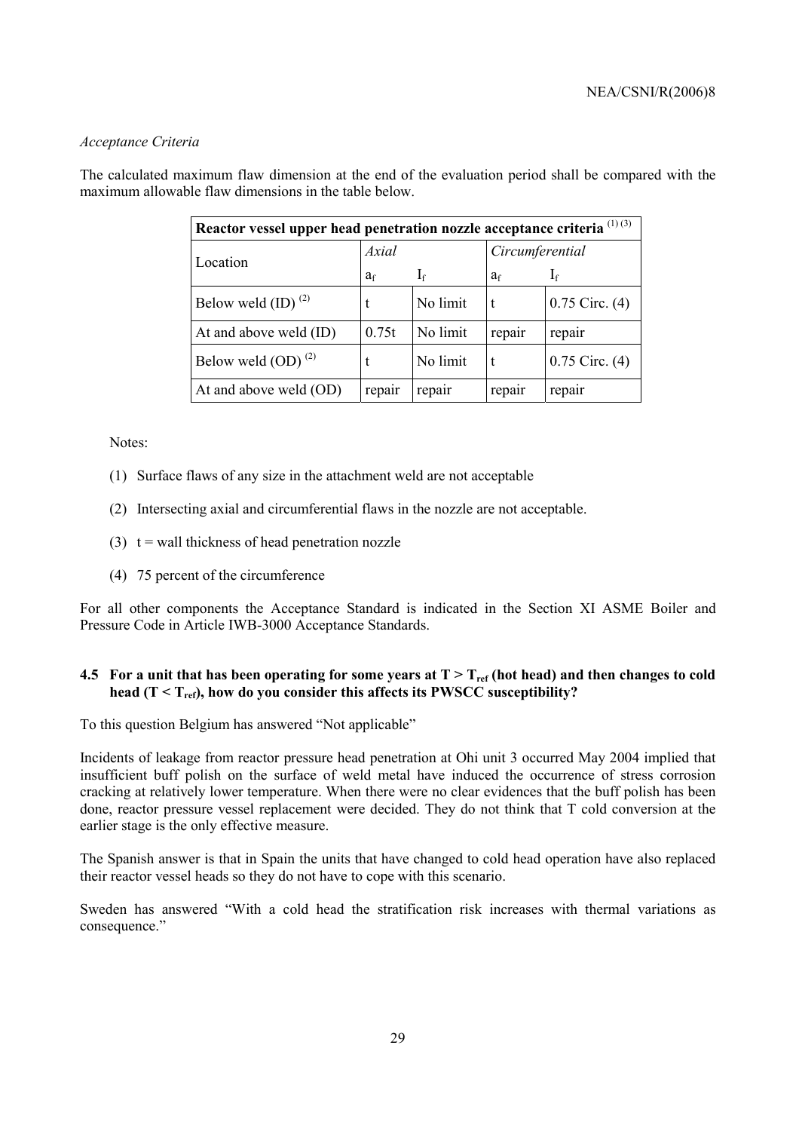## *Acceptance Criteria*

The calculated maximum flaw dimension at the end of the evaluation period shall be compared with the maximum allowable flaw dimensions in the table below.

| Reactor vessel upper head penetration nozzle acceptance criteria <sup>(1)(3)</sup> |                |          |                 |                    |  |
|------------------------------------------------------------------------------------|----------------|----------|-----------------|--------------------|--|
| Location                                                                           | Axial          |          | Circumferential |                    |  |
|                                                                                    | a <sub>f</sub> | $I_f$    | a <sub>f</sub>  | $I_f$              |  |
| Below weld $(ID)$ <sup><math>(2)</math></sup>                                      |                | No limit | t               | $0.75$ Circ. $(4)$ |  |
| At and above weld (ID)                                                             | 0.75t          | No limit | repair          | repair             |  |
| Below weld $OD)$ <sup>(2)</sup>                                                    |                | No limit | t               | $0.75$ Circ. $(4)$ |  |
| At and above weld (OD)                                                             | repair         | repair   | repair          | repair             |  |

Notes:

- (1) Surface flaws of any size in the attachment weld are not acceptable
- (2) Intersecting axial and circumferential flaws in the nozzle are not acceptable.
- (3)  $t =$  wall thickness of head penetration nozzle
- (4) 75 percent of the circumference

For all other components the Acceptance Standard is indicated in the Section XI ASME Boiler and Pressure Code in Article IWB-3000 Acceptance Standards.

## **4.5 For a unit that has been operating for some years at**  $T > T_{ref}$  **(hot head) and then changes to cold** head  $(T < T_{ref})$ , how do you consider this affects its PWSCC susceptibility?

To this question Belgium has answered "Not applicable"

Incidents of leakage from reactor pressure head penetration at Ohi unit 3 occurred May 2004 implied that insufficient buff polish on the surface of weld metal have induced the occurrence of stress corrosion cracking at relatively lower temperature. When there were no clear evidences that the buff polish has been done, reactor pressure vessel replacement were decided. They do not think that T cold conversion at the earlier stage is the only effective measure.

The Spanish answer is that in Spain the units that have changed to cold head operation have also replaced their reactor vessel heads so they do not have to cope with this scenario.

Sweden has answered "With a cold head the stratification risk increases with thermal variations as consequence."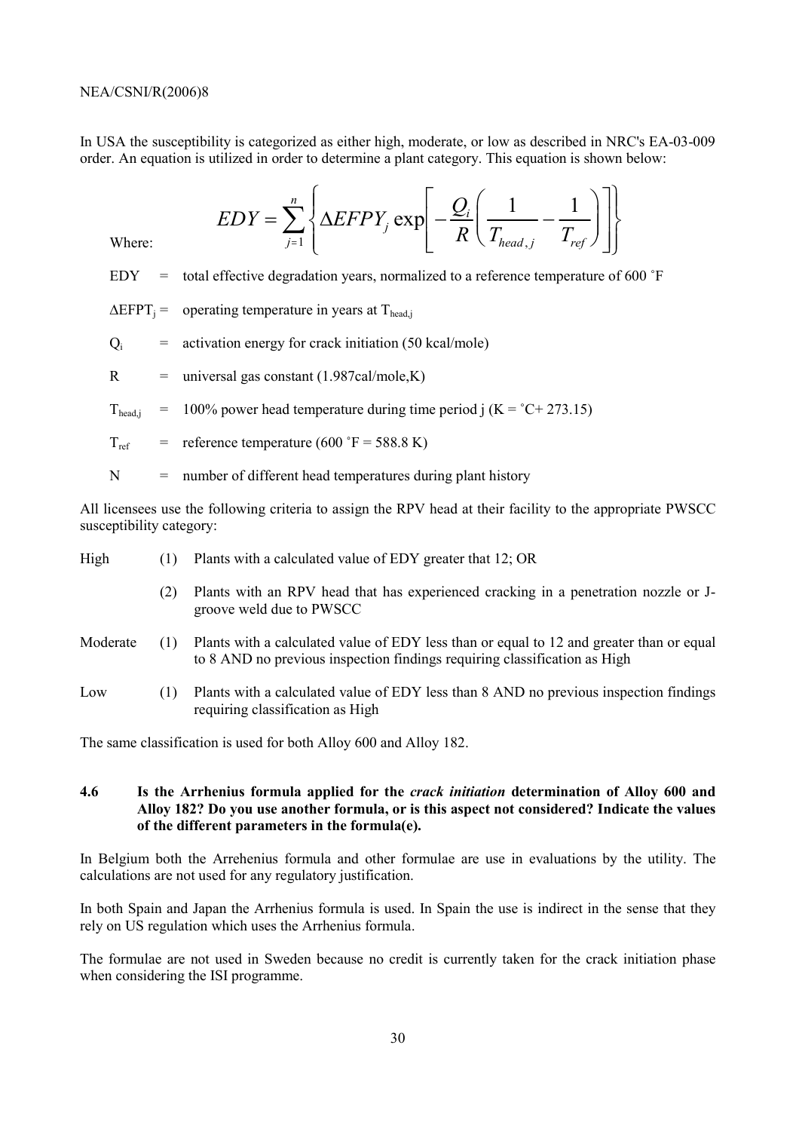In USA the susceptibility is categorized as either high, moderate, or low as described in NRC's EA-03-009 order. An equation is utilized in order to determine a plant category. This equation is shown below:

$$
EDY = \sum_{j=1}^{n} \left\{ \Delta EFPY_j \exp \left[ -\frac{Q_i}{R} \left( \frac{1}{T_{head,j}} - \frac{1}{T_{ref}} \right) \right] \right\}
$$

Where:

EDY  $=$  total effective degradation years, normalized to a reference temperature of 600  $\degree$ F

 $\Delta EFPT_i =$  operating temperature in years at T<sub>head i</sub>

 $Q_i$  = activation energy for crack initiation (50 kcal/mole)

 $R$  = universal gas constant (1.987cal/mole,K)

 $T_{\text{head,i}}$  = 100% power head temperature during time period j (K = °C+ 273.15)

$$
T_{ref} = reference temperature (600 °F = 588.8 K)
$$

 $N =$  number of different head temperatures during plant history

All licensees use the following criteria to assign the RPV head at their facility to the appropriate PWSCC susceptibility category:

| High     | (1) | Plants with a calculated value of EDY greater that 12; OR                                                                                                             |
|----------|-----|-----------------------------------------------------------------------------------------------------------------------------------------------------------------------|
|          | (2) | Plants with an RPV head that has experienced cracking in a penetration nozzle or J-<br>groove weld due to PWSCC                                                       |
| Moderate | (1) | Plants with a calculated value of EDY less than or equal to 12 and greater than or equal<br>to 8 AND no previous inspection findings requiring classification as High |
| Low      | (1) | Plants with a calculated value of EDY less than 8 AND no previous inspection findings<br>requiring classification as High                                             |

The same classification is used for both Alloy 600 and Alloy 182.

## **4.6 Is the Arrhenius formula applied for the** *crack initiation* **determination of Alloy 600 and Alloy 182? Do you use another formula, or is this aspect not considered? Indicate the values of the different parameters in the formula(e).**

In Belgium both the Arrehenius formula and other formulae are use in evaluations by the utility. The calculations are not used for any regulatory justification.

In both Spain and Japan the Arrhenius formula is used. In Spain the use is indirect in the sense that they rely on US regulation which uses the Arrhenius formula.

The formulae are not used in Sweden because no credit is currently taken for the crack initiation phase when considering the ISI programme.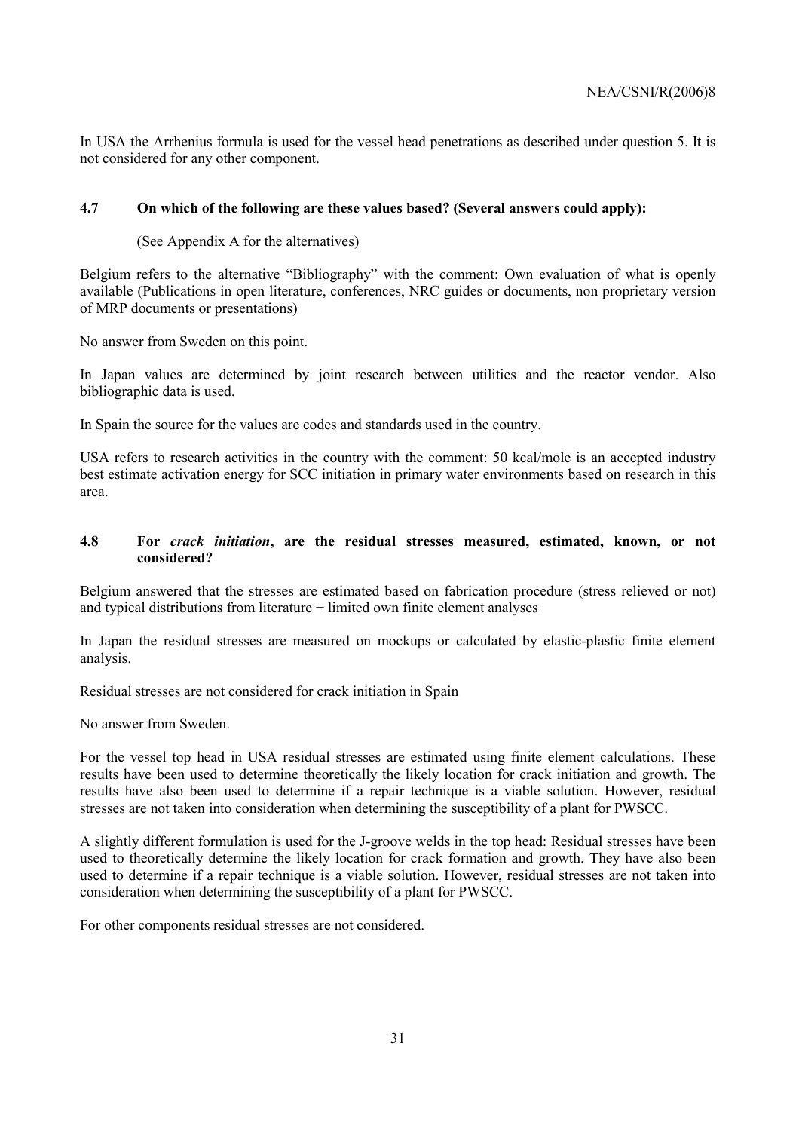In USA the Arrhenius formula is used for the vessel head penetrations as described under question 5. It is not considered for any other component.

## **4.7 On which of the following are these values based? (Several answers could apply):**

(See Appendix A for the alternatives)

Belgium refers to the alternative "Bibliography" with the comment: Own evaluation of what is openly available (Publications in open literature, conferences, NRC guides or documents, non proprietary version of MRP documents or presentations)

No answer from Sweden on this point.

In Japan values are determined by joint research between utilities and the reactor vendor. Also bibliographic data is used.

In Spain the source for the values are codes and standards used in the country.

USA refers to research activities in the country with the comment: 50 kcal/mole is an accepted industry best estimate activation energy for SCC initiation in primary water environments based on research in this area.

## **4.8 For** *crack initiation***, are the residual stresses measured, estimated, known, or not considered?**

Belgium answered that the stresses are estimated based on fabrication procedure (stress relieved or not) and typical distributions from literature + limited own finite element analyses

In Japan the residual stresses are measured on mockups or calculated by elastic-plastic finite element analysis.

Residual stresses are not considered for crack initiation in Spain

No answer from Sweden.

For the vessel top head in USA residual stresses are estimated using finite element calculations. These results have been used to determine theoretically the likely location for crack initiation and growth. The results have also been used to determine if a repair technique is a viable solution. However, residual stresses are not taken into consideration when determining the susceptibility of a plant for PWSCC.

A slightly different formulation is used for the J-groove welds in the top head: Residual stresses have been used to theoretically determine the likely location for crack formation and growth. They have also been used to determine if a repair technique is a viable solution. However, residual stresses are not taken into consideration when determining the susceptibility of a plant for PWSCC.

For other components residual stresses are not considered.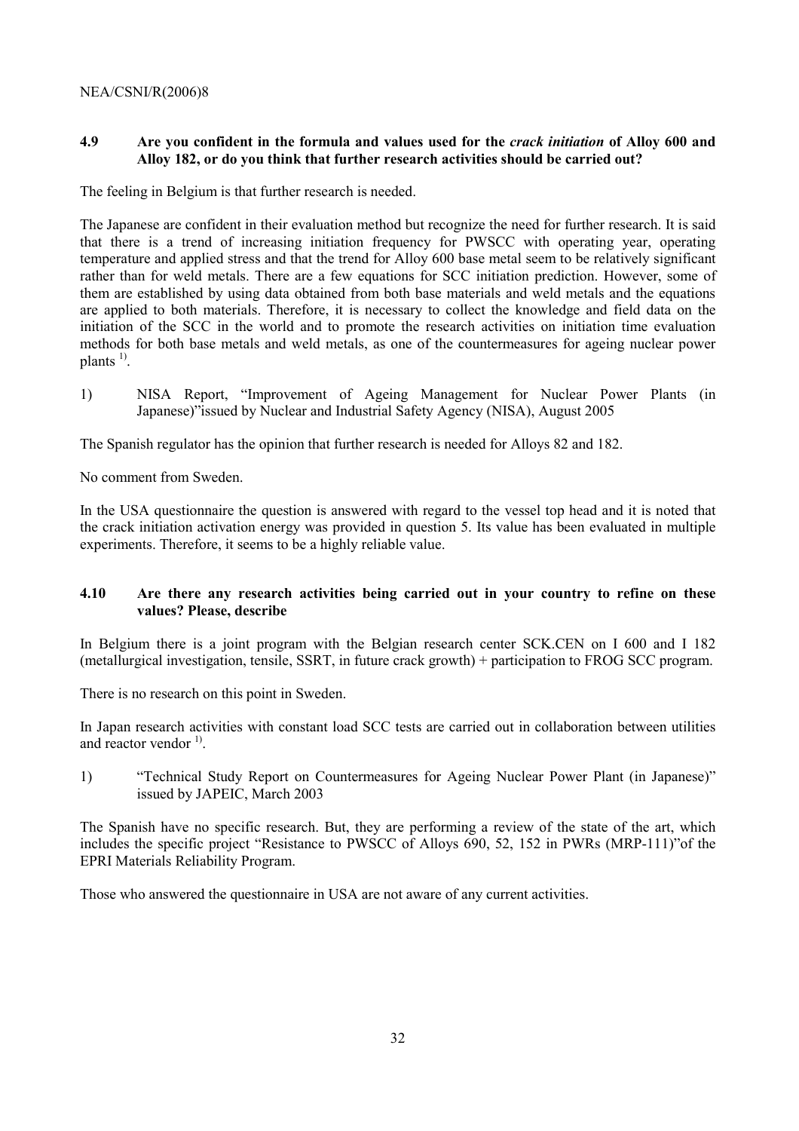## **4.9 Are you confident in the formula and values used for the** *crack initiation* **of Alloy 600 and Alloy 182, or do you think that further research activities should be carried out?**

The feeling in Belgium is that further research is needed.

The Japanese are confident in their evaluation method but recognize the need for further research. It is said that there is a trend of increasing initiation frequency for PWSCC with operating year, operating temperature and applied stress and that the trend for Alloy 600 base metal seem to be relatively significant rather than for weld metals. There are a few equations for SCC initiation prediction. However, some of them are established by using data obtained from both base materials and weld metals and the equations are applied to both materials. Therefore, it is necessary to collect the knowledge and field data on the initiation of the SCC in the world and to promote the research activities on initiation time evaluation methods for both base metals and weld metals, as one of the countermeasures for ageing nuclear power plants  $^{1}$ .

1) NISA Report, "Improvement of Ageing Management for Nuclear Power Plants (in Japanese)" issued by Nuclear and Industrial Safety Agency (NISA), August 2005

The Spanish regulator has the opinion that further research is needed for Alloys 82 and 182.

No comment from Sweden.

In the USA questionnaire the question is answered with regard to the vessel top head and it is noted that the crack initiation activation energy was provided in question 5. Its value has been evaluated in multiple experiments. Therefore, it seems to be a highly reliable value.

## **4.10 Are there any research activities being carried out in your country to refine on these values? Please, describe**

In Belgium there is a joint program with the Belgian research center SCK.CEN on I 600 and I 182 (metallurgical investigation, tensile, SSRT, in future crack growth) + participation to FROG SCC program.

There is no research on this point in Sweden.

In Japan research activities with constant load SCC tests are carried out in collaboration between utilities and reactor vendor  $^{1}$ .

1) <sup>"</sup>Technical Study Report on Countermeasures for Ageing Nuclear Power Plant (in Japanese)" issued by JAPEIC, March 2003

The Spanish have no specific research. But, they are performing a review of the state of the art, which includes the specific project "Resistance to PWSCC of Alloys 690, 52, 152 in PWRs (MRP-111)" of the EPRI Materials Reliability Program.

Those who answered the questionnaire in USA are not aware of any current activities.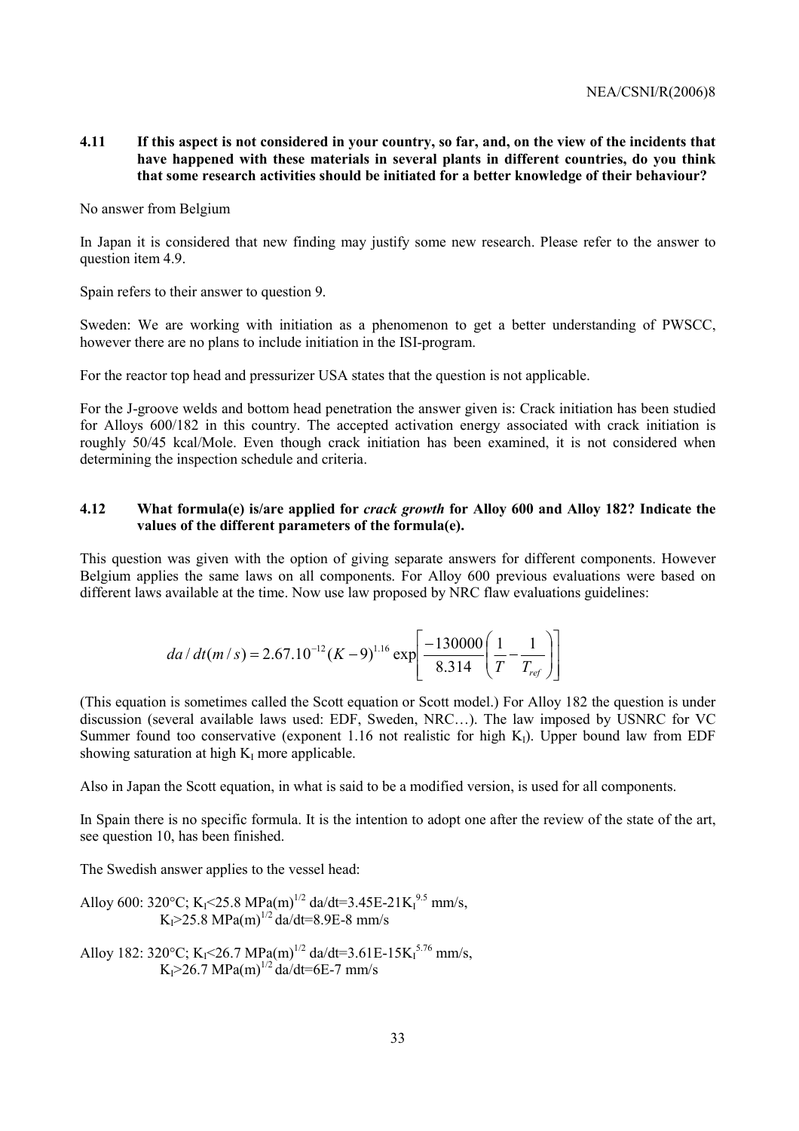## **4.11 If this aspect is not considered in your country, so far, and, on the view of the incidents that have happened with these materials in several plants in different countries, do you think that some research activities should be initiated for a better knowledge of their behaviour?**

#### No answer from Belgium

In Japan it is considered that new finding may justify some new research. Please refer to the answer to question item 4.9.

Spain refers to their answer to question 9.

Sweden: We are working with initiation as a phenomenon to get a better understanding of PWSCC, however there are no plans to include initiation in the ISI-program.

For the reactor top head and pressurizer USA states that the question is not applicable.

For the J-groove welds and bottom head penetration the answer given is: Crack initiation has been studied for Alloys 600/182 in this country. The accepted activation energy associated with crack initiation is roughly 50/45 kcal/Mole. Even though crack initiation has been examined, it is not considered when determining the inspection schedule and criteria.

## **4.12 What formula(e) is/are applied for** *crack growth* **for Alloy 600 and Alloy 182? Indicate the values of the different parameters of the formula(e).**

This question was given with the option of giving separate answers for different components. However Belgium applies the same laws on all components. For Alloy 600 previous evaluations were based on different laws available at the time. Now use law proposed by NRC flaw evaluations guidelines:

$$
da/dt(m/s) = 2.67.10^{-12} (K-9)^{1.16} \exp \left[ \frac{-130000}{8.314} \left( \frac{1}{T} - \frac{1}{T_{ref}} \right) \right]
$$

(This equation is sometimes called the Scott equation or Scott model.) For Alloy 182 the question is under discussion (several available laws used: EDF, Sweden, NRC...). The law imposed by USNRC for VC Summer found too conservative (exponent 1.16 not realistic for high  $K_I$ ). Upper bound law from EDF showing saturation at high  $K_I$  more applicable.

Also in Japan the Scott equation, in what is said to be a modified version, is used for all components.

In Spain there is no specific formula. It is the intention to adopt one after the review of the state of the art, see question 10, has been finished.

The Swedish answer applies to the vessel head:

Alloy 600: 320°C; KI<25.8 MPa(m)1/2 da/dt=3.45E-21KI 9.5 mm/s, KI>25.8 MPa(m)1/2 da/dt=8.9E-8 mm/s

Alloy 182: 320°C; KI<26.7 MPa(m)1/2 da/dt=3.61E-15KI 5.76 mm/s, KI>26.7 MPa(m)1/2 da/dt=6E-7 mm/s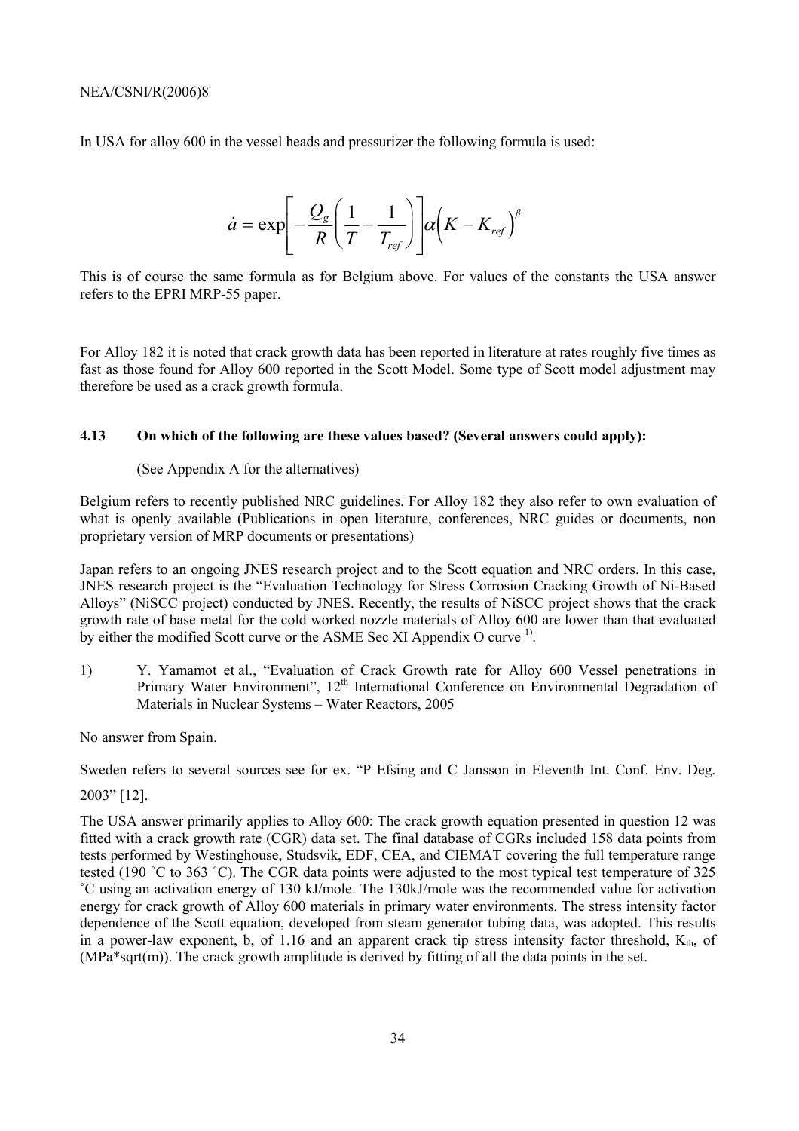In USA for alloy 600 in the vessel heads and pressurizer the following formula is used:

$$
\dot{a} = \exp\left[-\frac{Q_g}{R}\left(\frac{1}{T} - \frac{1}{T_{ref}}\right)\right] \alpha \left(K - K_{ref}\right)^{\beta}
$$

This is of course the same formula as for Belgium above. For values of the constants the USA answer refers to the EPRI MRP-55 paper.

For Alloy 182 it is noted that crack growth data has been reported in literature at rates roughly five times as fast as those found for Alloy 600 reported in the Scott Model. Some type of Scott model adjustment may therefore be used as a crack growth formula.

## **4.13 On which of the following are these values based? (Several answers could apply):**

## (See Appendix A for the alternatives)

Belgium refers to recently published NRC guidelines. For Alloy 182 they also refer to own evaluation of what is openly available (Publications in open literature, conferences, NRC guides or documents, non proprietary version of MRP documents or presentations)

Japan refers to an ongoing JNES research project and to the Scott equation and NRC orders. In this case, JNES research project is the "Evaluation Technology for Stress Corrosion Cracking Growth of Ni-Based Alloysî (NiSCC project) conducted by JNES. Recently, the results of NiSCC project shows that the crack growth rate of base metal for the cold worked nozzle materials of Alloy 600 are lower than that evaluated by either the modified Scott curve or the ASME Sec XI Appendix O curve <sup>1</sup>.

1) Y. Yamamot et al., "Evaluation of Crack Growth rate for Alloy 600 Vessel penetrations in Primary Water Environment", 12<sup>th</sup> International Conference on Environmental Degradation of Materials in Nuclear Systems – Water Reactors, 2005

No answer from Spain.

Sweden refers to several sources see for ex. "P Efsing and C Jansson in Eleventh Int. Conf. Env. Deg.

2003î [12].

The USA answer primarily applies to Alloy 600: The crack growth equation presented in question 12 was fitted with a crack growth rate (CGR) data set. The final database of CGRs included 158 data points from tests performed by Westinghouse, Studsvik, EDF, CEA, and CIEMAT covering the full temperature range tested (190 °C to 363 °C). The CGR data points were adjusted to the most typical test temperature of 325 ˚C using an activation energy of 130 kJ/mole. The 130kJ/mole was the recommended value for activation energy for crack growth of Alloy 600 materials in primary water environments. The stress intensity factor dependence of the Scott equation, developed from steam generator tubing data, was adopted. This results in a power-law exponent, b, of 1.16 and an apparent crack tip stress intensity factor threshold,  $K_{th}$ , of (MPa\*sqrt(m)). The crack growth amplitude is derived by fitting of all the data points in the set.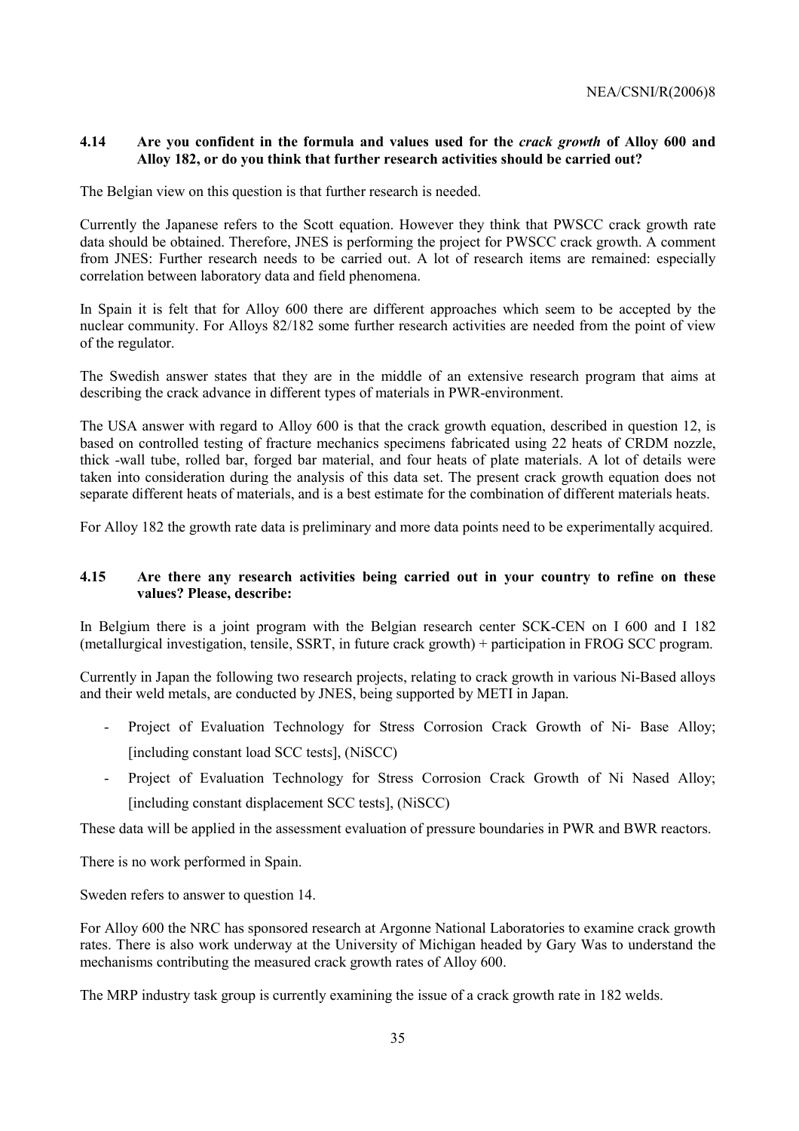## **4.14 Are you confident in the formula and values used for the** *crack growth* **of Alloy 600 and Alloy 182, or do you think that further research activities should be carried out?**

The Belgian view on this question is that further research is needed.

Currently the Japanese refers to the Scott equation. However they think that PWSCC crack growth rate data should be obtained. Therefore, JNES is performing the project for PWSCC crack growth. A comment from JNES: Further research needs to be carried out. A lot of research items are remained: especially correlation between laboratory data and field phenomena.

In Spain it is felt that for Alloy 600 there are different approaches which seem to be accepted by the nuclear community. For Alloys 82/182 some further research activities are needed from the point of view of the regulator.

The Swedish answer states that they are in the middle of an extensive research program that aims at describing the crack advance in different types of materials in PWR-environment.

The USA answer with regard to Alloy 600 is that the crack growth equation, described in question 12, is based on controlled testing of fracture mechanics specimens fabricated using 22 heats of CRDM nozzle, thick -wall tube, rolled bar, forged bar material, and four heats of plate materials. A lot of details were taken into consideration during the analysis of this data set. The present crack growth equation does not separate different heats of materials, and is a best estimate for the combination of different materials heats.

For Alloy 182 the growth rate data is preliminary and more data points need to be experimentally acquired.

## **4.15 Are there any research activities being carried out in your country to refine on these values? Please, describe:**

In Belgium there is a joint program with the Belgian research center SCK-CEN on I 600 and I 182 (metallurgical investigation, tensile, SSRT, in future crack growth) + participation in FROG SCC program.

Currently in Japan the following two research projects, relating to crack growth in various Ni-Based alloys and their weld metals, are conducted by JNES, being supported by METI in Japan.

- Project of Evaluation Technology for Stress Corrosion Crack Growth of Ni- Base Alloy; [including constant load SCC tests], (NiSCC)
- Project of Evaluation Technology for Stress Corrosion Crack Growth of Ni Nased Alloy; [including constant displacement SCC tests], (NiSCC)

These data will be applied in the assessment evaluation of pressure boundaries in PWR and BWR reactors.

There is no work performed in Spain.

Sweden refers to answer to question 14.

For Alloy 600 the NRC has sponsored research at Argonne National Laboratories to examine crack growth rates. There is also work underway at the University of Michigan headed by Gary Was to understand the mechanisms contributing the measured crack growth rates of Alloy 600.

The MRP industry task group is currently examining the issue of a crack growth rate in 182 welds.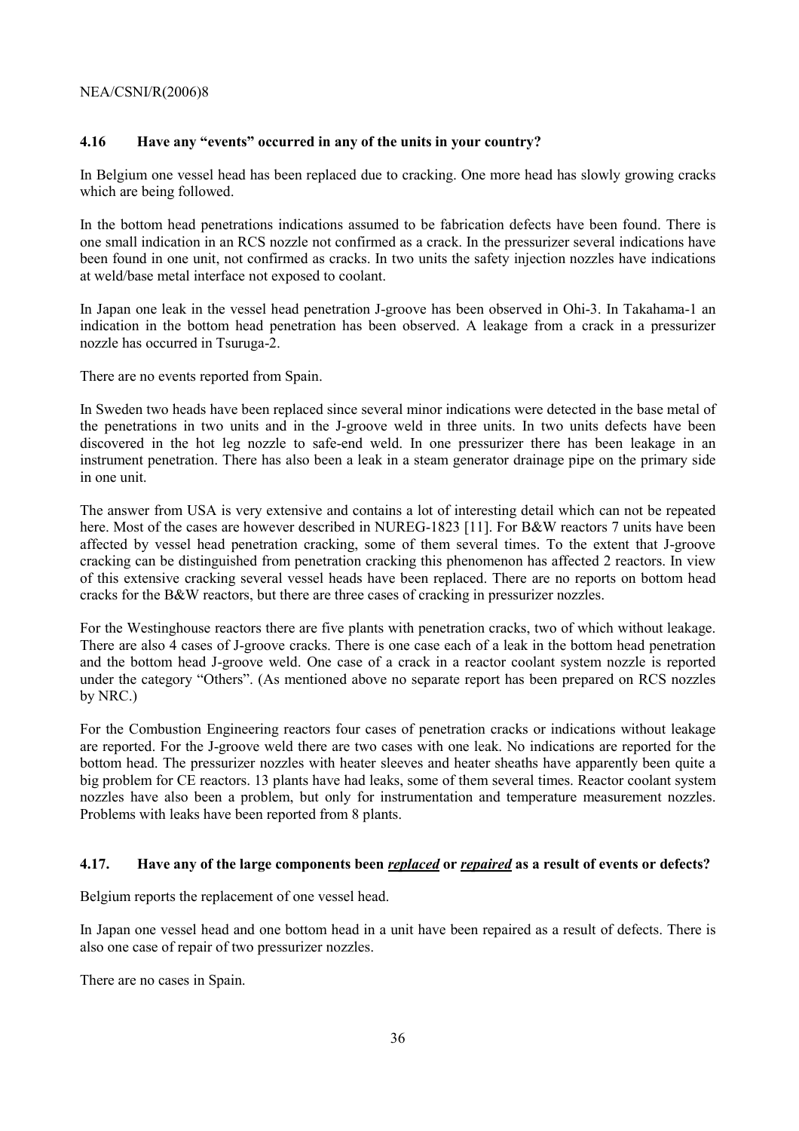## **4.16** Have any "events" occurred in any of the units in your country?

In Belgium one vessel head has been replaced due to cracking. One more head has slowly growing cracks which are being followed.

In the bottom head penetrations indications assumed to be fabrication defects have been found. There is one small indication in an RCS nozzle not confirmed as a crack. In the pressurizer several indications have been found in one unit, not confirmed as cracks. In two units the safety injection nozzles have indications at weld/base metal interface not exposed to coolant.

In Japan one leak in the vessel head penetration J-groove has been observed in Ohi-3. In Takahama-1 an indication in the bottom head penetration has been observed. A leakage from a crack in a pressurizer nozzle has occurred in Tsuruga-2.

There are no events reported from Spain.

In Sweden two heads have been replaced since several minor indications were detected in the base metal of the penetrations in two units and in the J-groove weld in three units. In two units defects have been discovered in the hot leg nozzle to safe-end weld. In one pressurizer there has been leakage in an instrument penetration. There has also been a leak in a steam generator drainage pipe on the primary side in one unit.

The answer from USA is very extensive and contains a lot of interesting detail which can not be repeated here. Most of the cases are however described in NUREG-1823 [11]. For B&W reactors 7 units have been affected by vessel head penetration cracking, some of them several times. To the extent that J-groove cracking can be distinguished from penetration cracking this phenomenon has affected 2 reactors. In view of this extensive cracking several vessel heads have been replaced. There are no reports on bottom head cracks for the B&W reactors, but there are three cases of cracking in pressurizer nozzles.

For the Westinghouse reactors there are five plants with penetration cracks, two of which without leakage. There are also 4 cases of J-groove cracks. There is one case each of a leak in the bottom head penetration and the bottom head J-groove weld. One case of a crack in a reactor coolant system nozzle is reported under the category "Others". (As mentioned above no separate report has been prepared on RCS nozzles by NRC.)

For the Combustion Engineering reactors four cases of penetration cracks or indications without leakage are reported. For the J-groove weld there are two cases with one leak. No indications are reported for the bottom head. The pressurizer nozzles with heater sleeves and heater sheaths have apparently been quite a big problem for CE reactors. 13 plants have had leaks, some of them several times. Reactor coolant system nozzles have also been a problem, but only for instrumentation and temperature measurement nozzles. Problems with leaks have been reported from 8 plants.

## **4.17. Have any of the large components been** *replaced* **or** *repaired* **as a result of events or defects?**

Belgium reports the replacement of one vessel head.

In Japan one vessel head and one bottom head in a unit have been repaired as a result of defects. There is also one case of repair of two pressurizer nozzles.

There are no cases in Spain.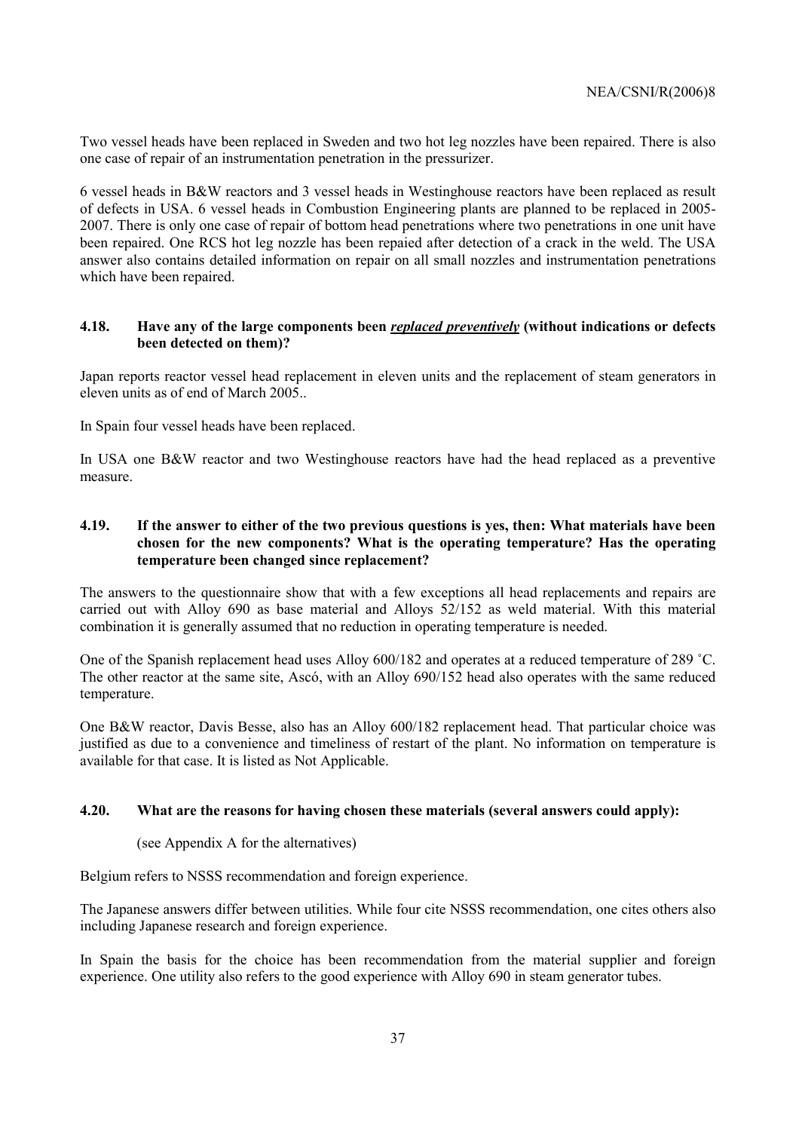Two vessel heads have been replaced in Sweden and two hot leg nozzles have been repaired. There is also one case of repair of an instrumentation penetration in the pressurizer.

6 vessel heads in B&W reactors and 3 vessel heads in Westinghouse reactors have been replaced as result of defects in USA. 6 vessel heads in Combustion Engineering plants are planned to be replaced in 2005- 2007. There is only one case of repair of bottom head penetrations where two penetrations in one unit have been repaired. One RCS hot leg nozzle has been repaied after detection of a crack in the weld. The USA answer also contains detailed information on repair on all small nozzles and instrumentation penetrations which have been repaired.

## **4.18. Have any of the large components been** *replaced preventively* **(without indications or defects been detected on them)?**

Japan reports reactor vessel head replacement in eleven units and the replacement of steam generators in eleven units as of end of March 2005..

In Spain four vessel heads have been replaced.

In USA one B&W reactor and two Westinghouse reactors have had the head replaced as a preventive measure.

## **4.19. If the answer to either of the two previous questions is yes, then: What materials have been chosen for the new components? What is the operating temperature? Has the operating temperature been changed since replacement?**

The answers to the questionnaire show that with a few exceptions all head replacements and repairs are carried out with Alloy 690 as base material and Alloys  $52/152$  as weld material. With this material combination it is generally assumed that no reduction in operating temperature is needed.

One of the Spanish replacement head uses Alloy 600/182 and operates at a reduced temperature of 289 ˚C. The other reactor at the same site, Ascó, with an Alloy 690/152 head also operates with the same reduced temperature.

One B&W reactor, Davis Besse, also has an Alloy 600/182 replacement head. That particular choice was justified as due to a convenience and timeliness of restart of the plant. No information on temperature is available for that case. It is listed as Not Applicable.

## **4.20. What are the reasons for having chosen these materials (several answers could apply):**

## (see Appendix A for the alternatives)

Belgium refers to NSSS recommendation and foreign experience.

The Japanese answers differ between utilities. While four cite NSSS recommendation, one cites others also including Japanese research and foreign experience.

In Spain the basis for the choice has been recommendation from the material supplier and foreign experience. One utility also refers to the good experience with Alloy 690 in steam generator tubes.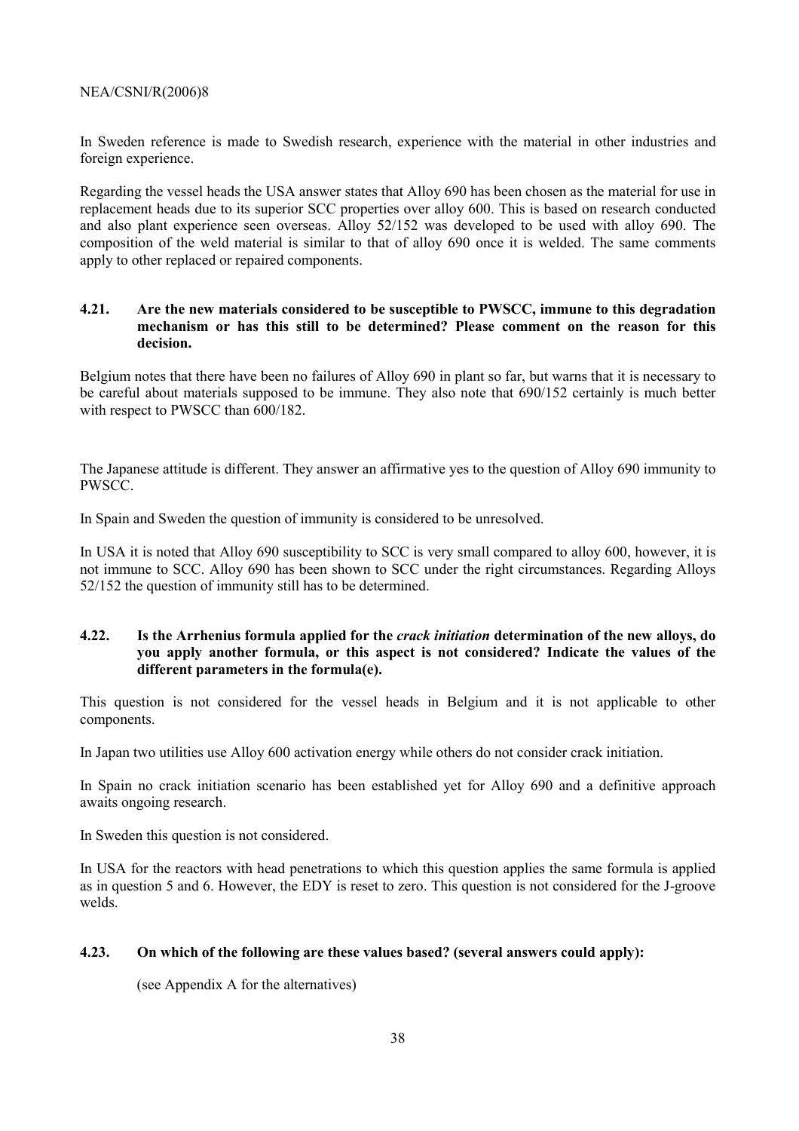In Sweden reference is made to Swedish research, experience with the material in other industries and foreign experience.

Regarding the vessel heads the USA answer states that Alloy 690 has been chosen as the material for use in replacement heads due to its superior SCC properties over alloy 600. This is based on research conducted and also plant experience seen overseas. Alloy 52/152 was developed to be used with alloy 690. The composition of the weld material is similar to that of alloy 690 once it is welded. The same comments apply to other replaced or repaired components.

## **4.21. Are the new materials considered to be susceptible to PWSCC, immune to this degradation mechanism or has this still to be determined? Please comment on the reason for this decision.**

Belgium notes that there have been no failures of Alloy 690 in plant so far, but warns that it is necessary to be careful about materials supposed to be immune. They also note that 690/152 certainly is much better with respect to PWSCC than 600/182.

The Japanese attitude is different. They answer an affirmative yes to the question of Alloy 690 immunity to PWSCC.

In Spain and Sweden the question of immunity is considered to be unresolved.

In USA it is noted that Alloy 690 susceptibility to SCC is very small compared to alloy 600, however, it is not immune to SCC. Alloy 690 has been shown to SCC under the right circumstances. Regarding Alloys 52/152 the question of immunity still has to be determined.

## **4.22. Is the Arrhenius formula applied for the** *crack initiation* **determination of the new alloys, do you apply another formula, or this aspect is not considered? Indicate the values of the different parameters in the formula(e).**

This question is not considered for the vessel heads in Belgium and it is not applicable to other components.

In Japan two utilities use Alloy 600 activation energy while others do not consider crack initiation.

In Spain no crack initiation scenario has been established yet for Alloy 690 and a definitive approach awaits ongoing research.

In Sweden this question is not considered.

In USA for the reactors with head penetrations to which this question applies the same formula is applied as in question 5 and 6. However, the EDY is reset to zero. This question is not considered for the J-groove welds.

## **4.23. On which of the following are these values based? (several answers could apply):**

(see Appendix A for the alternatives)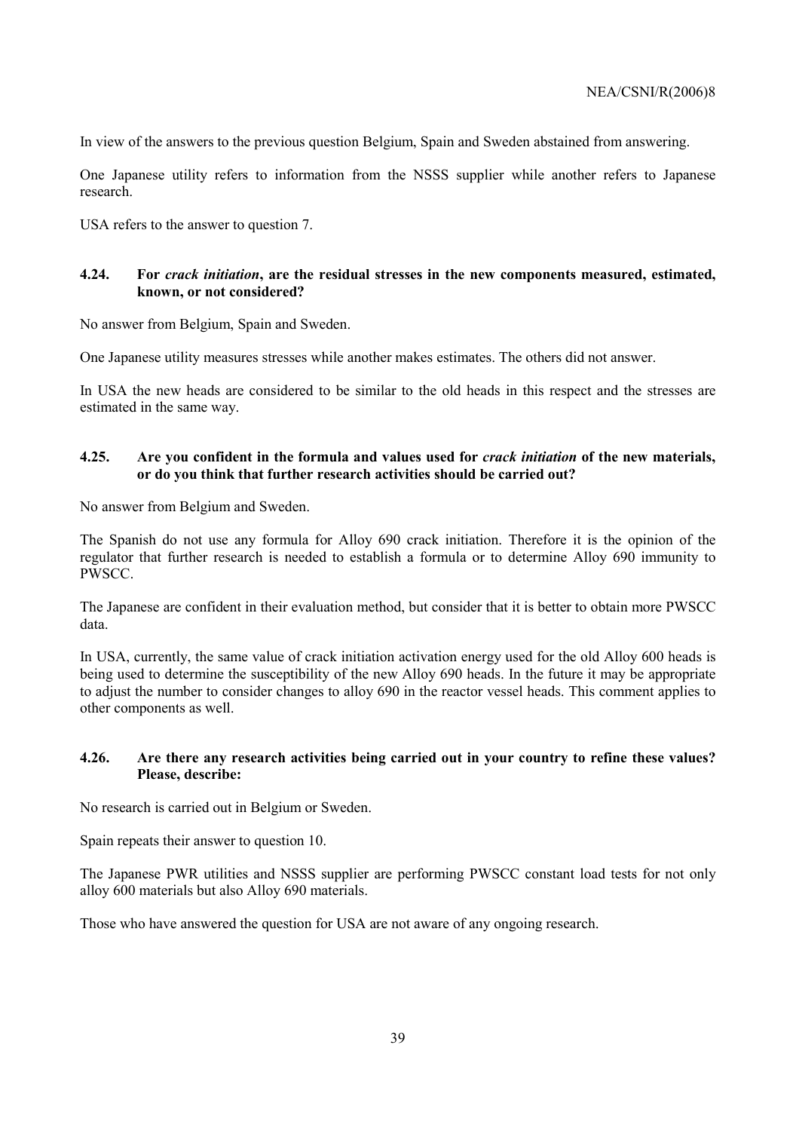In view of the answers to the previous question Belgium, Spain and Sweden abstained from answering.

One Japanese utility refers to information from the NSSS supplier while another refers to Japanese research.

USA refers to the answer to question 7.

## **4.24. For** *crack initiation***, are the residual stresses in the new components measured, estimated, known, or not considered?**

No answer from Belgium, Spain and Sweden.

One Japanese utility measures stresses while another makes estimates. The others did not answer.

In USA the new heads are considered to be similar to the old heads in this respect and the stresses are estimated in the same way.

## **4.25. Are you confident in the formula and values used for** *crack initiation* **of the new materials, or do you think that further research activities should be carried out?**

No answer from Belgium and Sweden.

The Spanish do not use any formula for Alloy 690 crack initiation. Therefore it is the opinion of the regulator that further research is needed to establish a formula or to determine Alloy 690 immunity to PWSCC.

The Japanese are confident in their evaluation method, but consider that it is better to obtain more PWSCC data.

In USA, currently, the same value of crack initiation activation energy used for the old Alloy 600 heads is being used to determine the susceptibility of the new Alloy 690 heads. In the future it may be appropriate to adjust the number to consider changes to alloy 690 in the reactor vessel heads. This comment applies to other components as well.

## **4.26. Are there any research activities being carried out in your country to refine these values? Please, describe:**

No research is carried out in Belgium or Sweden.

Spain repeats their answer to question 10.

The Japanese PWR utilities and NSSS supplier are performing PWSCC constant load tests for not only alloy 600 materials but also Alloy 690 materials.

Those who have answered the question for USA are not aware of any ongoing research.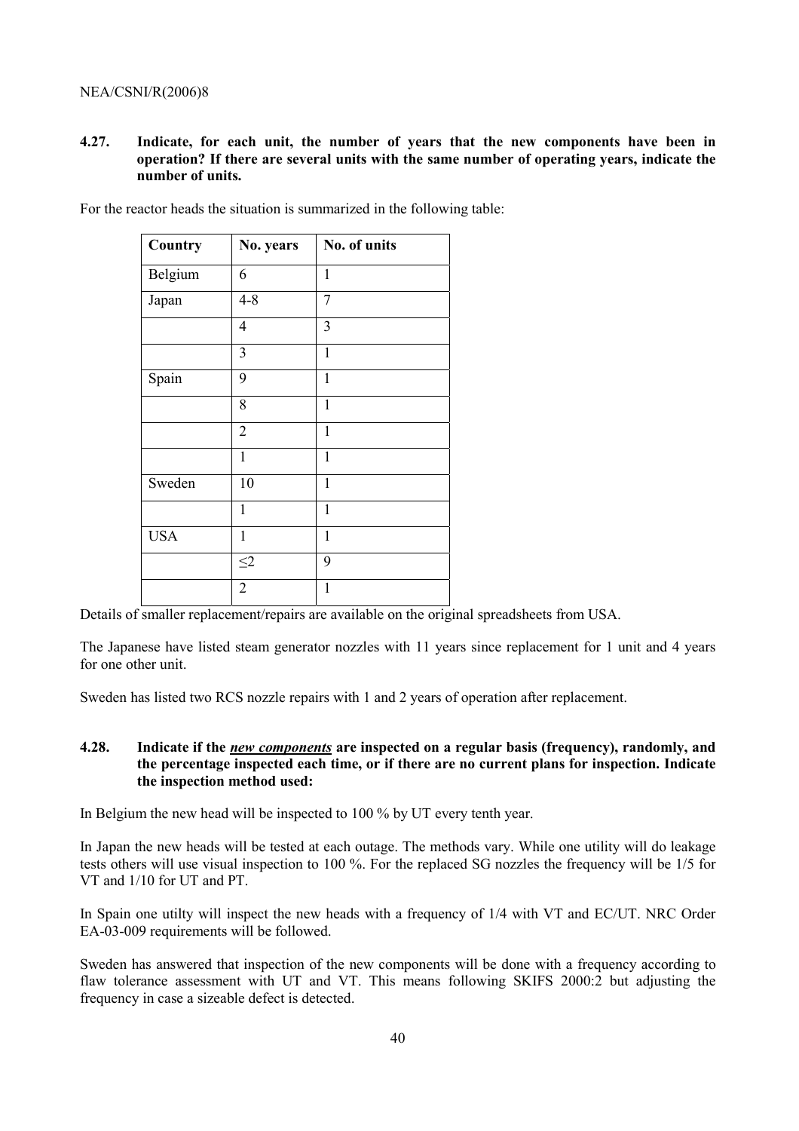**4.27. Indicate, for each unit, the number of years that the new components have been in operation? If there are several units with the same number of operating years, indicate the number of units.** 

| Country    | No. years      | No. of units |
|------------|----------------|--------------|
| Belgium    | 6              | $\mathbf{1}$ |
| Japan      | $4 - 8$        | 7            |
|            | 4              | 3            |
|            | 3              | $\mathbf{1}$ |
| Spain      | 9              | $\mathbf 1$  |
|            | 8              | $\mathbf{1}$ |
|            | $\overline{2}$ | $\mathbf{1}$ |
|            | $\mathbf{1}$   | $\mathbf{1}$ |
| Sweden     | 10             | $\mathbf{1}$ |
|            | 1              | $\mathbf{1}$ |
| <b>USA</b> | $\mathbf{1}$   | $\mathbf{1}$ |
|            | $\leq$ 2       | 9            |
|            | $\overline{2}$ | 1            |

For the reactor heads the situation is summarized in the following table:

Details of smaller replacement/repairs are available on the original spreadsheets from USA.

The Japanese have listed steam generator nozzles with 11 years since replacement for 1 unit and 4 years for one other unit.

Sweden has listed two RCS nozzle repairs with 1 and 2 years of operation after replacement.

## **4.28. Indicate if the** *new components* **are inspected on a regular basis (frequency), randomly, and the percentage inspected each time, or if there are no current plans for inspection. Indicate the inspection method used:**

In Belgium the new head will be inspected to 100 % by UT every tenth year.

In Japan the new heads will be tested at each outage. The methods vary. While one utility will do leakage tests others will use visual inspection to 100 %. For the replaced SG nozzles the frequency will be 1/5 for VT and 1/10 for UT and PT.

In Spain one utilty will inspect the new heads with a frequency of 1/4 with VT and EC/UT. NRC Order EA-03-009 requirements will be followed.

Sweden has answered that inspection of the new components will be done with a frequency according to flaw tolerance assessment with UT and VT. This means following SKIFS 2000:2 but adjusting the frequency in case a sizeable defect is detected.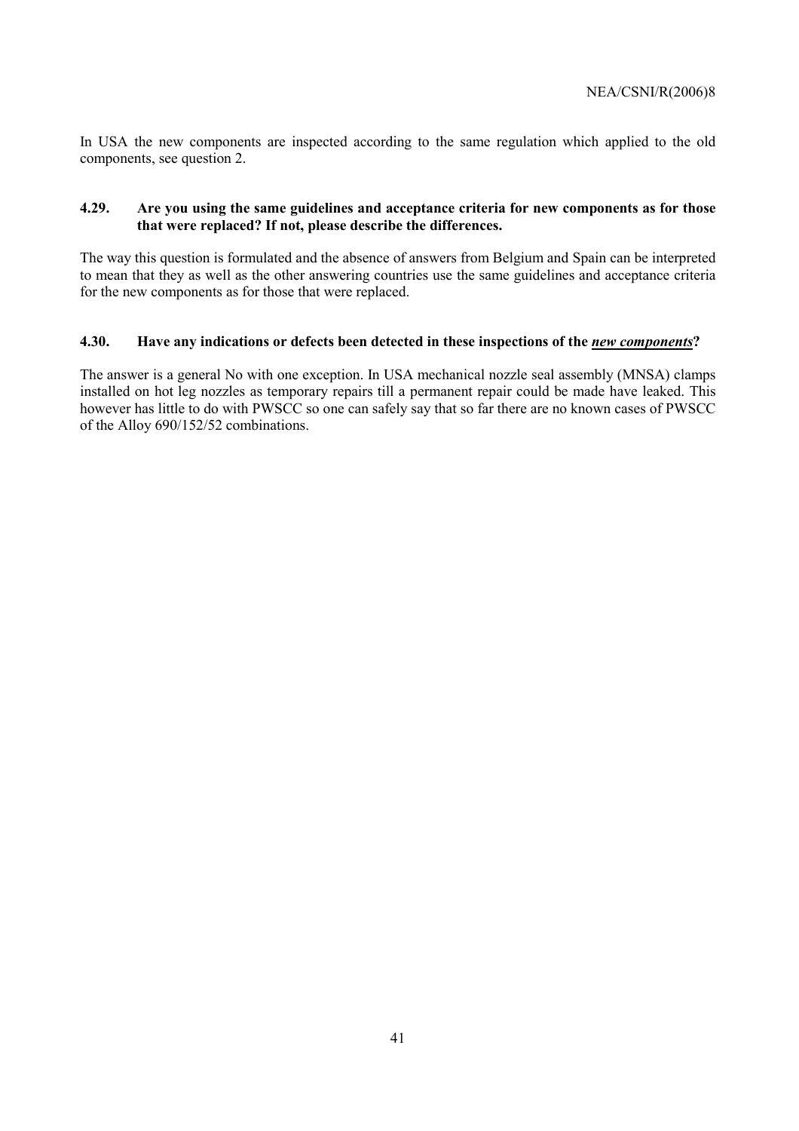In USA the new components are inspected according to the same regulation which applied to the old components, see question 2.

## **4.29. Are you using the same guidelines and acceptance criteria for new components as for those that were replaced? If not, please describe the differences.**

The way this question is formulated and the absence of answers from Belgium and Spain can be interpreted to mean that they as well as the other answering countries use the same guidelines and acceptance criteria for the new components as for those that were replaced.

## **4.30.** Have any indications or defects been detected in these inspections of the *new components*?

The answer is a general No with one exception. In USA mechanical nozzle seal assembly (MNSA) clamps installed on hot leg nozzles as temporary repairs till a permanent repair could be made have leaked. This however has little to do with PWSCC so one can safely say that so far there are no known cases of PWSCC of the Alloy 690/152/52 combinations.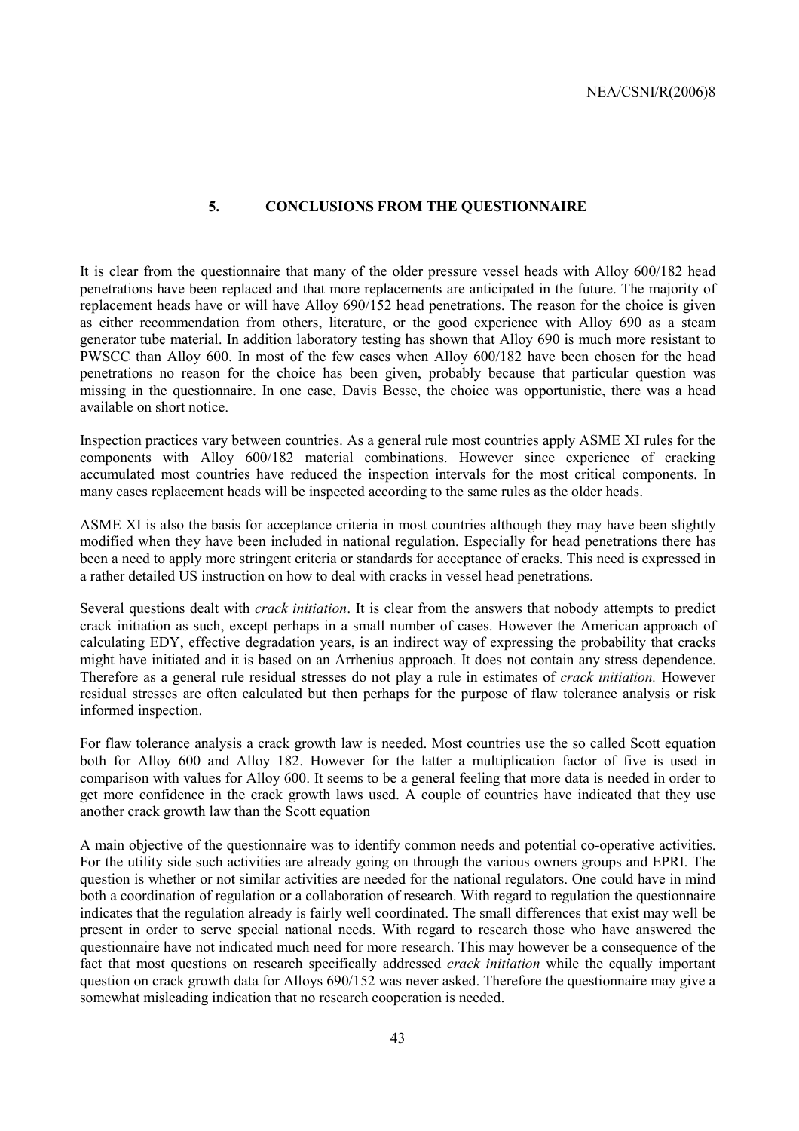## **5. CONCLUSIONS FROM THE QUESTIONNAIRE**

It is clear from the questionnaire that many of the older pressure vessel heads with Alloy 600/182 head penetrations have been replaced and that more replacements are anticipated in the future. The majority of replacement heads have or will have Alloy 690/152 head penetrations. The reason for the choice is given as either recommendation from others, literature, or the good experience with Alloy 690 as a steam generator tube material. In addition laboratory testing has shown that Alloy 690 is much more resistant to PWSCC than Alloy 600. In most of the few cases when Alloy 600/182 have been chosen for the head penetrations no reason for the choice has been given, probably because that particular question was missing in the questionnaire. In one case, Davis Besse, the choice was opportunistic, there was a head available on short notice.

Inspection practices vary between countries. As a general rule most countries apply ASME XI rules for the components with Alloy 600/182 material combinations. However since experience of cracking accumulated most countries have reduced the inspection intervals for the most critical components. In many cases replacement heads will be inspected according to the same rules as the older heads.

ASME XI is also the basis for acceptance criteria in most countries although they may have been slightly modified when they have been included in national regulation. Especially for head penetrations there has been a need to apply more stringent criteria or standards for acceptance of cracks. This need is expressed in a rather detailed US instruction on how to deal with cracks in vessel head penetrations.

Several questions dealt with *crack initiation*. It is clear from the answers that nobody attempts to predict crack initiation as such, except perhaps in a small number of cases. However the American approach of calculating EDY, effective degradation years, is an indirect way of expressing the probability that cracks might have initiated and it is based on an Arrhenius approach. It does not contain any stress dependence. Therefore as a general rule residual stresses do not play a rule in estimates of *crack initiation.* However residual stresses are often calculated but then perhaps for the purpose of flaw tolerance analysis or risk informed inspection.

For flaw tolerance analysis a crack growth law is needed. Most countries use the so called Scott equation both for Alloy 600 and Alloy 182. However for the latter a multiplication factor of five is used in comparison with values for Alloy 600. It seems to be a general feeling that more data is needed in order to get more confidence in the crack growth laws used. A couple of countries have indicated that they use another crack growth law than the Scott equation

A main objective of the questionnaire was to identify common needs and potential co-operative activities. For the utility side such activities are already going on through the various owners groups and EPRI. The question is whether or not similar activities are needed for the national regulators. One could have in mind both a coordination of regulation or a collaboration of research. With regard to regulation the questionnaire indicates that the regulation already is fairly well coordinated. The small differences that exist may well be present in order to serve special national needs. With regard to research those who have answered the questionnaire have not indicated much need for more research. This may however be a consequence of the fact that most questions on research specifically addressed *crack initiation* while the equally important question on crack growth data for Alloys 690/152 was never asked. Therefore the questionnaire may give a somewhat misleading indication that no research cooperation is needed.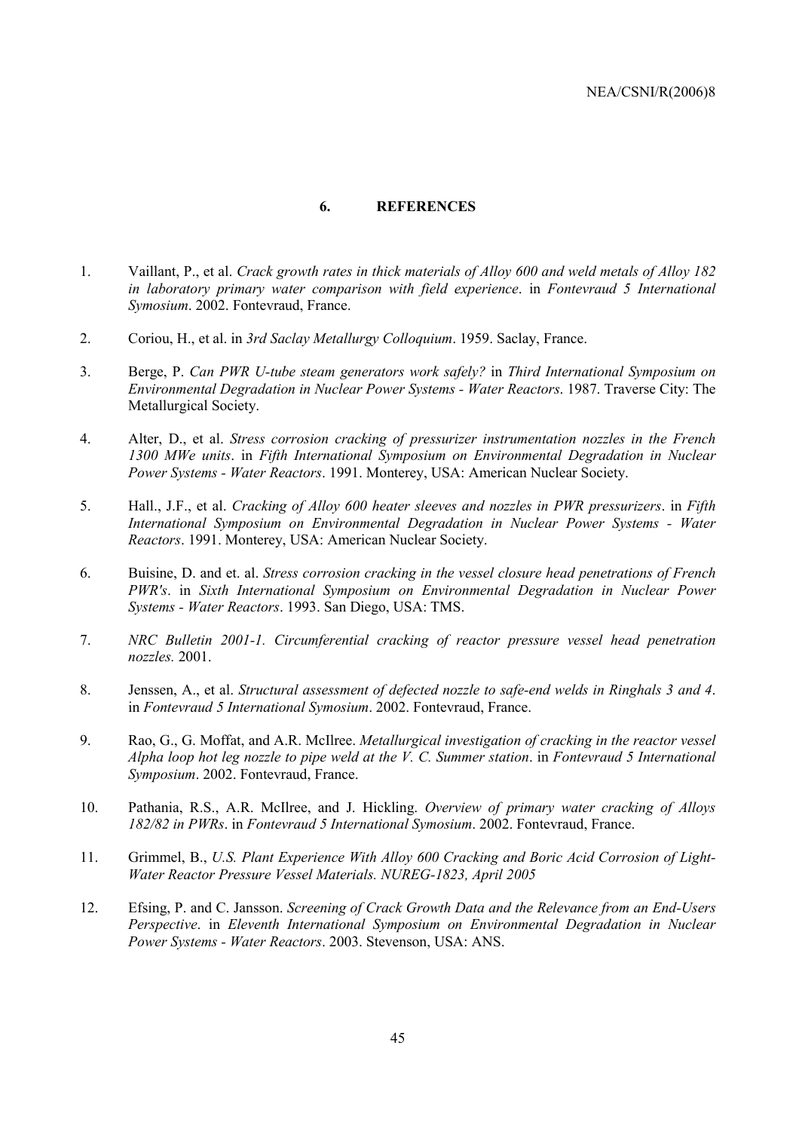#### **6. REFERENCES**

- 1. Vaillant, P., et al. *Crack growth rates in thick materials of Alloy 600 and weld metals of Alloy 182 in laboratory primary water comparison with field experience*. in *Fontevraud 5 International Symosium*. 2002. Fontevraud, France.
- 2. Coriou, H., et al. in *3rd Saclay Metallurgy Colloquium*. 1959. Saclay, France.
- 3. Berge, P. *Can PWR U-tube steam generators work safely?* in *Third International Symposium on Environmental Degradation in Nuclear Power Systems - Water Reactors*. 1987. Traverse City: The Metallurgical Society.
- 4. Alter, D., et al. *Stress corrosion cracking of pressurizer instrumentation nozzles in the French 1300 MWe units*. in *Fifth International Symposium on Environmental Degradation in Nuclear Power Systems - Water Reactors*. 1991. Monterey, USA: American Nuclear Society.
- 5. Hall., J.F., et al. *Cracking of Alloy 600 heater sleeves and nozzles in PWR pressurizers*. in *Fifth International Symposium on Environmental Degradation in Nuclear Power Systems - Water Reactors*. 1991. Monterey, USA: American Nuclear Society.
- 6. Buisine, D. and et. al. *Stress corrosion cracking in the vessel closure head penetrations of French PWR's*. in *Sixth International Symposium on Environmental Degradation in Nuclear Power Systems - Water Reactors*. 1993. San Diego, USA: TMS.
- 7. *NRC Bulletin 2001-1. Circumferential cracking of reactor pressure vessel head penetration nozzles.* 2001.
- 8. Jenssen, A., et al. *Structural assessment of defected nozzle to safe-end welds in Ringhals 3 and 4*. in *Fontevraud 5 International Symosium*. 2002. Fontevraud, France.
- 9. Rao, G., G. Moffat, and A.R. McIlree. *Metallurgical investigation of cracking in the reactor vessel Alpha loop hot leg nozzle to pipe weld at the V. C. Summer station*. in *Fontevraud 5 International Symposium*. 2002. Fontevraud, France.
- 10. Pathania, R.S., A.R. McIlree, and J. Hickling. *Overview of primary water cracking of Alloys 182/82 in PWRs*. in *Fontevraud 5 International Symosium*. 2002. Fontevraud, France.
- 11. Grimmel, B., *U.S. Plant Experience With Alloy 600 Cracking and Boric Acid Corrosion of Light-Water Reactor Pressure Vessel Materials. NUREG-1823, April 2005*
- 12. Efsing, P. and C. Jansson. *Screening of Crack Growth Data and the Relevance from an End-Users Perspective*. in *Eleventh International Symposium on Environmental Degradation in Nuclear Power Systems - Water Reactors*. 2003. Stevenson, USA: ANS.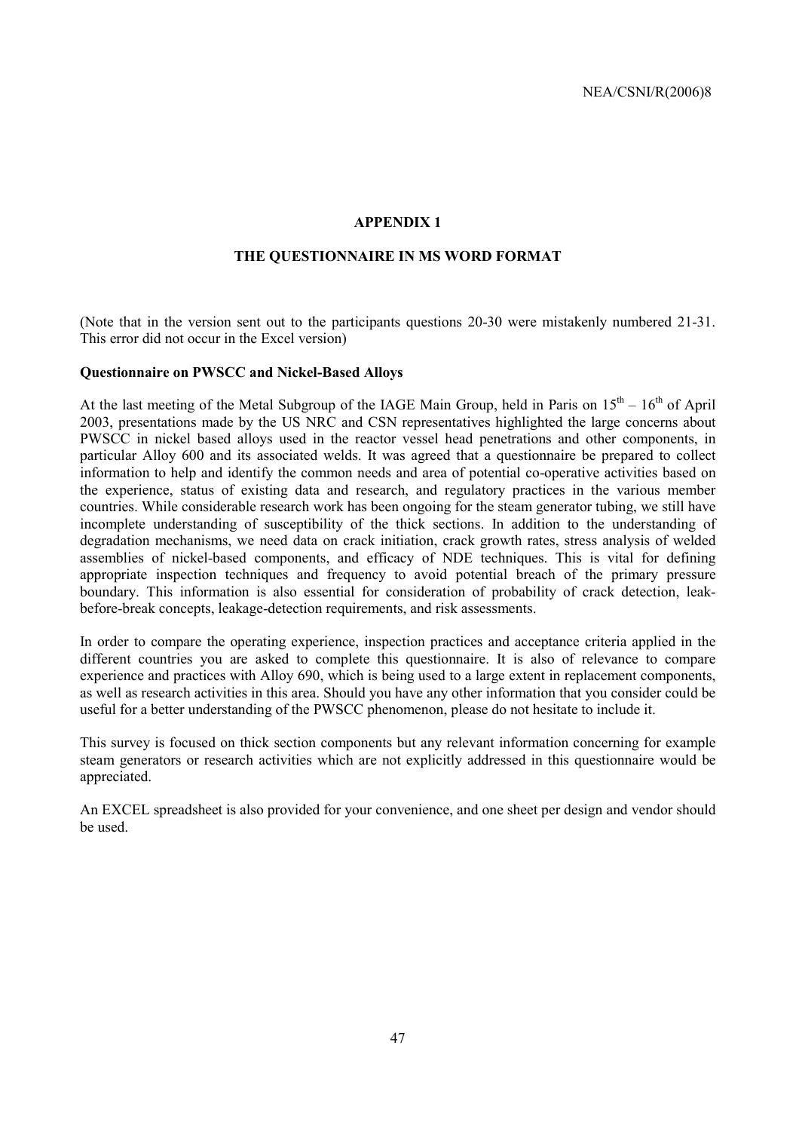## **APPENDIX 1**

## **THE QUESTIONNAIRE IN MS WORD FORMAT**

(Note that in the version sent out to the participants questions 20-30 were mistakenly numbered 21-31. This error did not occur in the Excel version)

#### **Questionnaire on PWSCC and Nickel-Based Alloys**

At the last meeting of the Metal Subgroup of the IAGE Main Group, held in Paris on  $15<sup>th</sup> - 16<sup>th</sup>$  of April 2003, presentations made by the US NRC and CSN representatives highlighted the large concerns about PWSCC in nickel based alloys used in the reactor vessel head penetrations and other components, in particular Alloy 600 and its associated welds. It was agreed that a questionnaire be prepared to collect information to help and identify the common needs and area of potential co-operative activities based on the experience, status of existing data and research, and regulatory practices in the various member countries. While considerable research work has been ongoing for the steam generator tubing, we still have incomplete understanding of susceptibility of the thick sections. In addition to the understanding of degradation mechanisms, we need data on crack initiation, crack growth rates, stress analysis of welded assemblies of nickel-based components, and efficacy of NDE techniques. This is vital for defining appropriate inspection techniques and frequency to avoid potential breach of the primary pressure boundary. This information is also essential for consideration of probability of crack detection, leakbefore-break concepts, leakage-detection requirements, and risk assessments.

In order to compare the operating experience, inspection practices and acceptance criteria applied in the different countries you are asked to complete this questionnaire. It is also of relevance to compare experience and practices with Alloy 690, which is being used to a large extent in replacement components, as well as research activities in this area. Should you have any other information that you consider could be useful for a better understanding of the PWSCC phenomenon, please do not hesitate to include it.

This survey is focused on thick section components but any relevant information concerning for example steam generators or research activities which are not explicitly addressed in this questionnaire would be appreciated.

An EXCEL spreadsheet is also provided for your convenience, and one sheet per design and vendor should be used.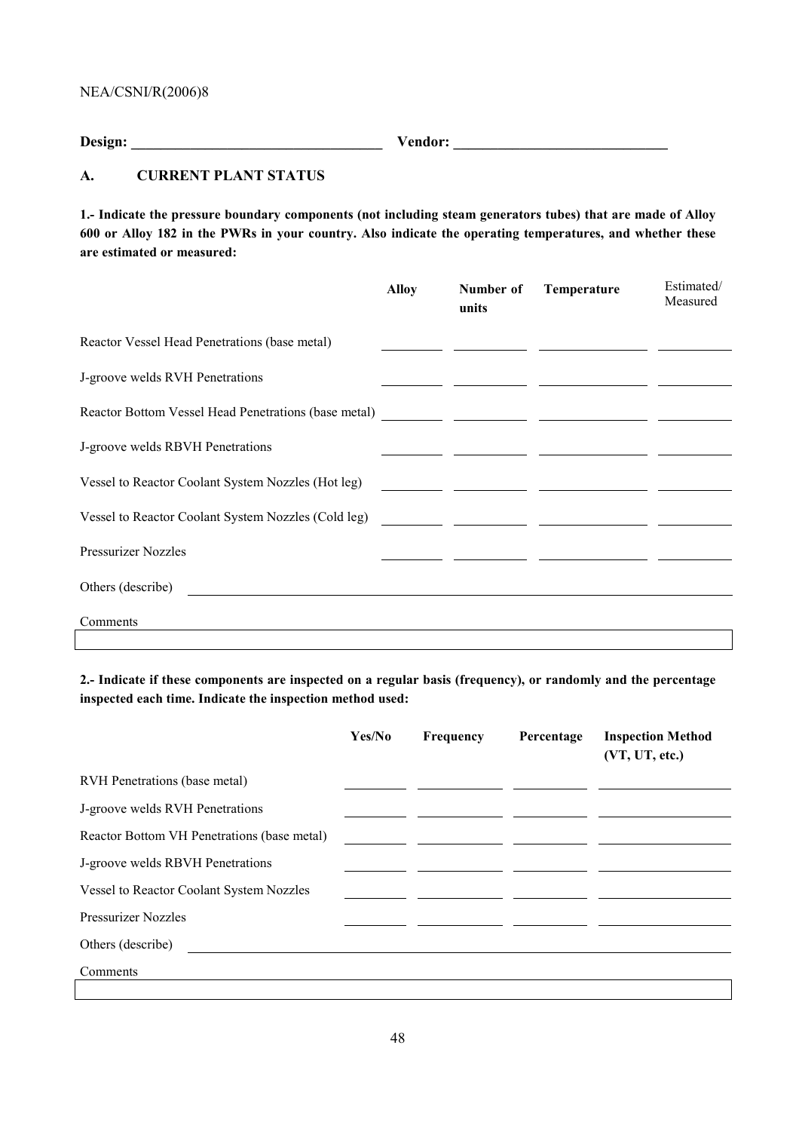**Design: \_\_\_\_\_\_\_\_\_\_\_\_\_\_\_\_\_\_\_\_\_\_\_\_\_\_\_\_\_\_\_\_\_\_ Vendor: \_\_\_\_\_\_\_\_\_\_\_\_\_\_\_\_\_\_\_\_\_\_\_\_\_\_\_\_\_** 

## **A. CURRENT PLANT STATUS**

**1.- Indicate the pressure boundary components (not including steam generators tubes) that are made of Alloy 600 or Alloy 182 in the PWRs in your country. Also indicate the operating temperatures, and whether these are estimated or measured:** 

| units | Temperature | Estimated/<br>Measured |
|-------|-------------|------------------------|
|       |             |                        |
|       |             |                        |
|       |             |                        |
|       |             |                        |
|       |             |                        |
|       |             |                        |
|       |             |                        |
|       |             |                        |
|       |             |                        |
|       |             |                        |

**2.- Indicate if these components are inspected on a regular basis (frequency), or randomly and the percentage inspected each time. Indicate the inspection method used:** 

|                                             | Yes/No | Frequency | Percentage | <b>Inspection Method</b><br>(VT, UT, etc.) |
|---------------------------------------------|--------|-----------|------------|--------------------------------------------|
| RVH Penetrations (base metal)               |        |           |            |                                            |
| J-groove welds RVH Penetrations             |        |           |            |                                            |
| Reactor Bottom VH Penetrations (base metal) |        |           |            |                                            |
| J-groove welds RBVH Penetrations            |        |           |            |                                            |
| Vessel to Reactor Coolant System Nozzles    |        |           |            |                                            |
| <b>Pressurizer Nozzles</b>                  |        |           |            |                                            |
| Others (describe)                           |        |           |            |                                            |
| Comments                                    |        |           |            |                                            |
|                                             |        |           |            |                                            |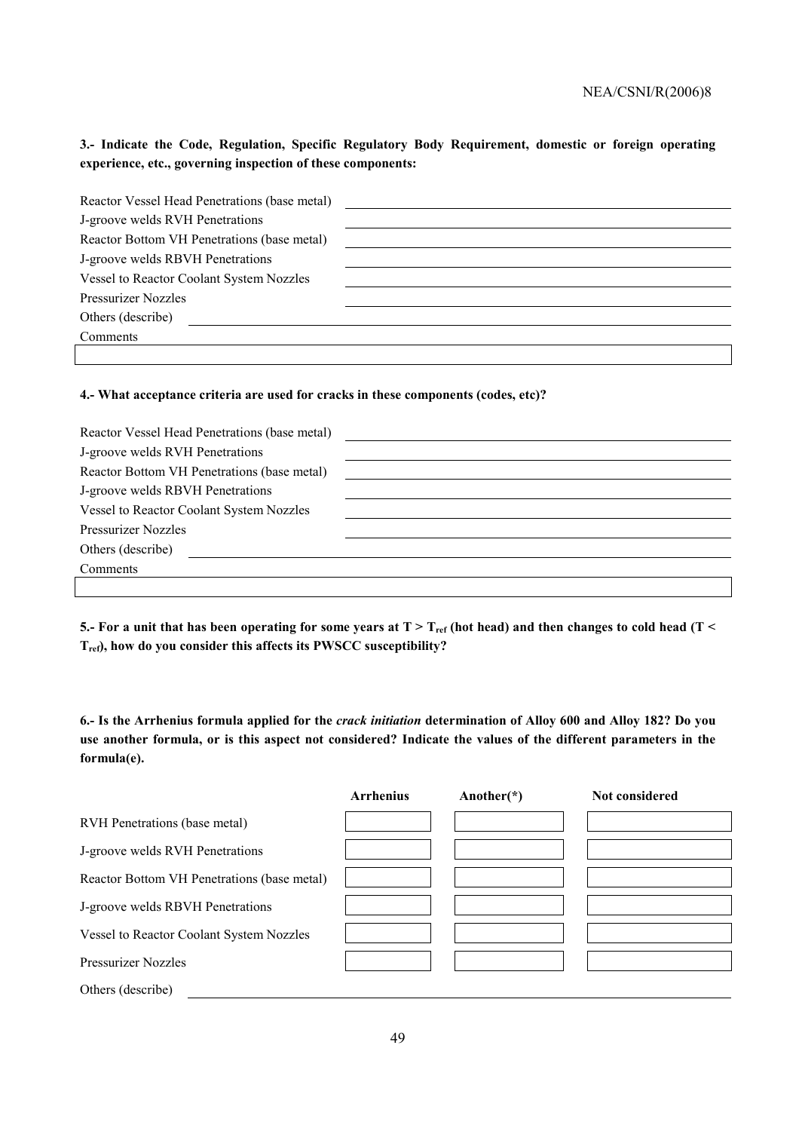**3.- Indicate the Code, Regulation, Specific Regulatory Body Requirement, domestic or foreign operating experience, etc., governing inspection of these components:** 

| Reactor Vessel Head Penetrations (base metal) |  |
|-----------------------------------------------|--|
| J-groove welds RVH Penetrations               |  |
| Reactor Bottom VH Penetrations (base metal)   |  |
| J-groove welds RBVH Penetrations              |  |
| Vessel to Reactor Coolant System Nozzles      |  |
| Pressurizer Nozzles                           |  |
| Others (describe)                             |  |
| Comments                                      |  |
|                                               |  |

#### **4.- What acceptance criteria are used for cracks in these components (codes, etc)?**

| Reactor Vessel Head Penetrations (base metal) |  |
|-----------------------------------------------|--|
| J-groove welds RVH Penetrations               |  |
| Reactor Bottom VH Penetrations (base metal)   |  |
| J-groove welds RBVH Penetrations              |  |
| Vessel to Reactor Coolant System Nozzles      |  |
| <b>Pressurizer Nozzles</b>                    |  |
| Others (describe)                             |  |
| Comments                                      |  |
|                                               |  |

5.- For a unit that has been operating for some years at T > T<sub>ref</sub> (hot head) and then changes to cold head (T < **Tref), how do you consider this affects its PWSCC susceptibility?** 

**6.- Is the Arrhenius formula applied for the** *crack initiation* **determination of Alloy 600 and Alloy 182? Do you use another formula, or is this aspect not considered? Indicate the values of the different parameters in the formula(e).** 

|                                             | <b>Arrhenius</b> | Another $(*)$ | Not considered |
|---------------------------------------------|------------------|---------------|----------------|
| RVH Penetrations (base metal)               |                  |               |                |
| J-groove welds RVH Penetrations             |                  |               |                |
| Reactor Bottom VH Penetrations (base metal) |                  |               |                |
| J-groove welds RBVH Penetrations            |                  |               |                |
| Vessel to Reactor Coolant System Nozzles    |                  |               |                |
| <b>Pressurizer Nozzles</b>                  |                  |               |                |
| Others (describe)                           |                  |               |                |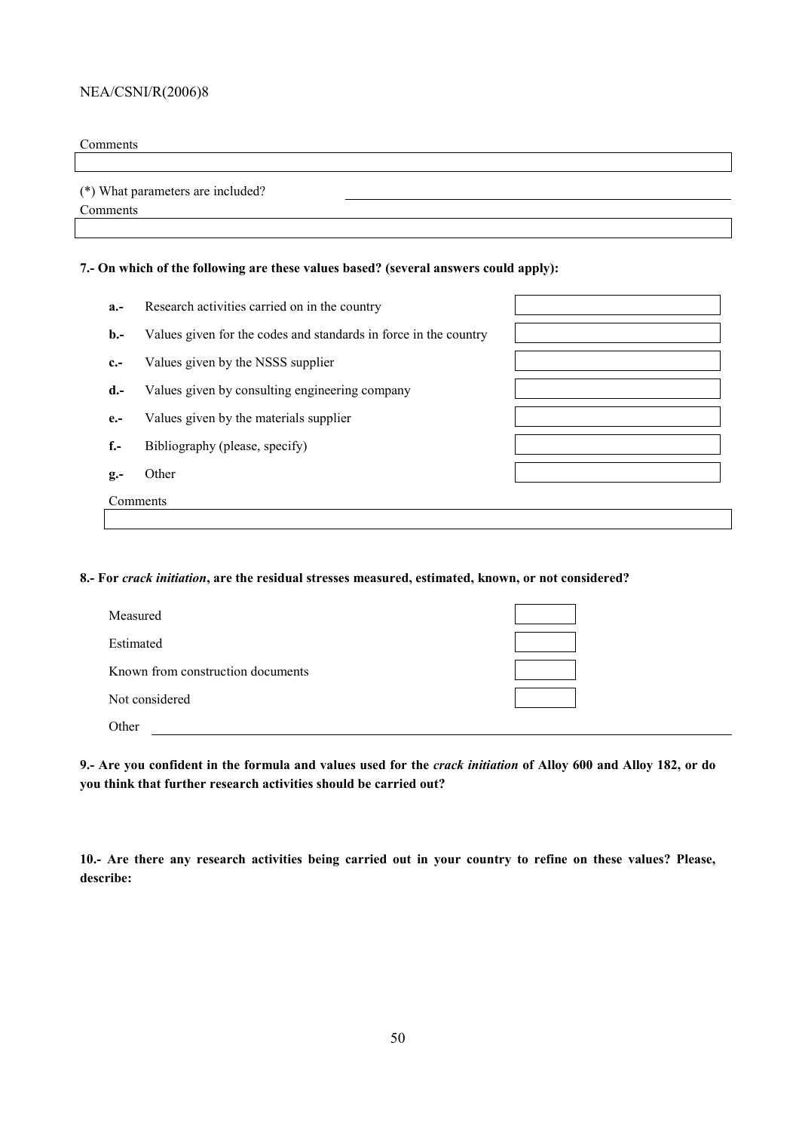#### Comments

(\*) What parameters are included?

Comments

## **7.- On which of the following are these values based? (several answers could apply):**

| $a.-$        | Research activities carried on in the country                    |  |
|--------------|------------------------------------------------------------------|--|
| $\mathbf{b}$ | Values given for the codes and standards in force in the country |  |
| $c -$        | Values given by the NSSS supplier                                |  |
| $d -$        | Values given by consulting engineering company                   |  |
| $e -$        | Values given by the materials supplier                           |  |
| $f -$        | Bibliography (please, specify)                                   |  |
| $g -$        | Other                                                            |  |
|              | Comments                                                         |  |
|              |                                                                  |  |

#### **8.- For** *crack initiation***, are the residual stresses measured, estimated, known, or not considered?**

| Measured                          |  |
|-----------------------------------|--|
| Estimated                         |  |
| Known from construction documents |  |
| Not considered                    |  |
| Other                             |  |

**9.- Are you confident in the formula and values used for the** *crack initiation* **of Alloy 600 and Alloy 182, or do you think that further research activities should be carried out?** 

**10.- Are there any research activities being carried out in your country to refine on these values? Please, describe:**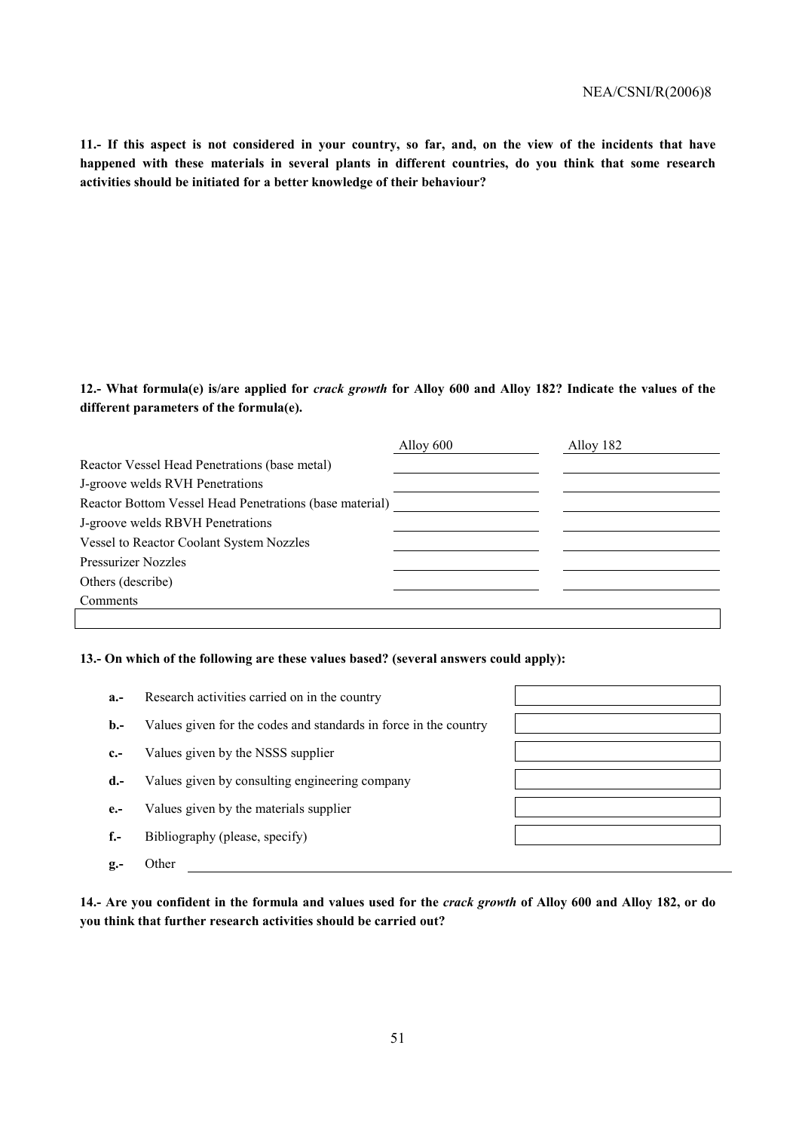**11.- If this aspect is not considered in your country, so far, and, on the view of the incidents that have happened with these materials in several plants in different countries, do you think that some research activities should be initiated for a better knowledge of their behaviour?** 

## **12.- What formula(e) is/are applied for** *crack growth* **for Alloy 600 and Alloy 182? Indicate the values of the different parameters of the formula(e).**

|                                                         | Alloy 600 | Alloy 182 |
|---------------------------------------------------------|-----------|-----------|
| Reactor Vessel Head Penetrations (base metal)           |           |           |
| J-groove welds RVH Penetrations                         |           |           |
| Reactor Bottom Vessel Head Penetrations (base material) |           |           |
| J-groove welds RBVH Penetrations                        |           |           |
| Vessel to Reactor Coolant System Nozzles                |           |           |
| <b>Pressurizer Nozzles</b>                              |           |           |
| Others (describe)                                       |           |           |
| Comments                                                |           |           |
|                                                         |           |           |

#### **13.- On which of the following are these values based? (several answers could apply):**

| $a -$          | Research activities carried on in the country                    |  |
|----------------|------------------------------------------------------------------|--|
| $\mathbf{b}$ . | Values given for the codes and standards in force in the country |  |
| $c -$          | Values given by the NSSS supplier                                |  |
| $d -$          | Values given by consulting engineering company                   |  |
| $e -$          | Values given by the materials supplier                           |  |
| $f -$          | Bibliography (please, specify)                                   |  |
| $g -$          | Other                                                            |  |

**14.- Are you confident in the formula and values used for the** *crack growth* **of Alloy 600 and Alloy 182, or do you think that further research activities should be carried out?**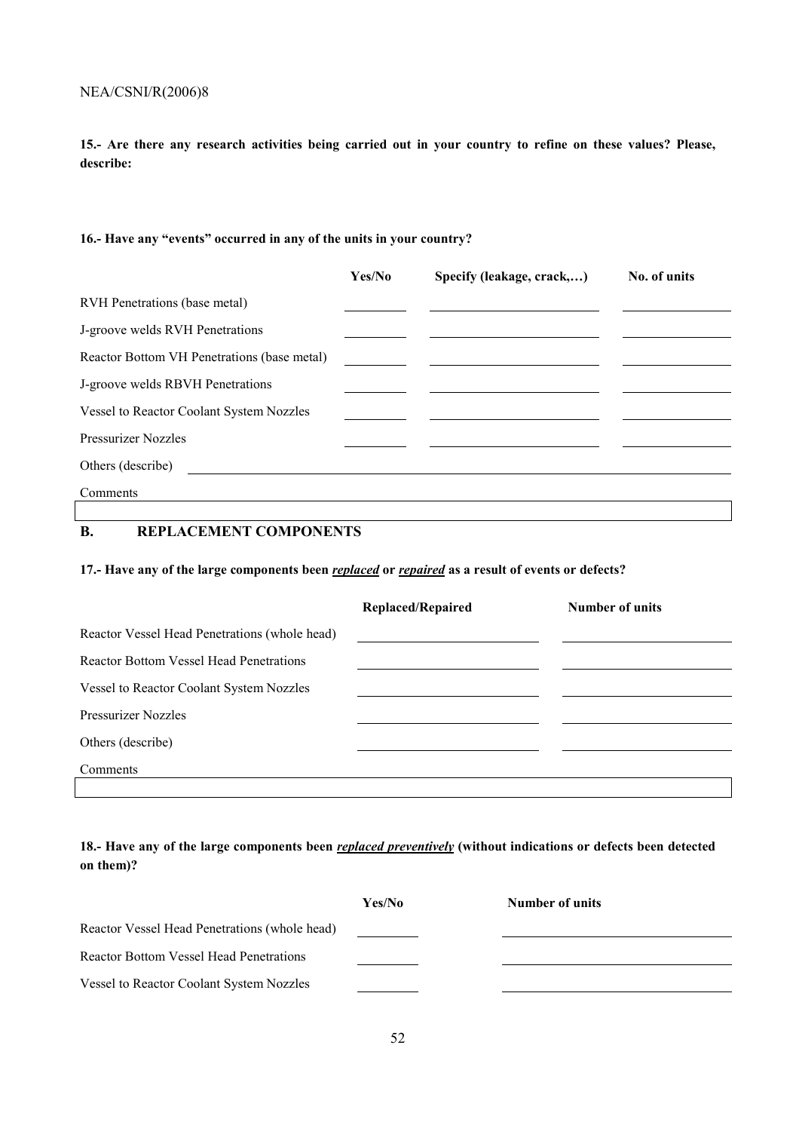**15.- Are there any research activities being carried out in your country to refine on these values? Please, describe:** 

## 16.- Have any "events" occurred in any of the units in your country?

|                                             | Yes/No | Specify (leakage, crack,) | No. of units |
|---------------------------------------------|--------|---------------------------|--------------|
| RVH Penetrations (base metal)               |        |                           |              |
| J-groove welds RVH Penetrations             |        |                           |              |
| Reactor Bottom VH Penetrations (base metal) |        |                           |              |
| J-groove welds RBVH Penetrations            |        |                           |              |
| Vessel to Reactor Coolant System Nozzles    |        |                           |              |
| <b>Pressurizer Nozzles</b>                  |        |                           |              |
| Others (describe)                           |        |                           |              |
| Comments                                    |        |                           |              |

## **B. REPLACEMENT COMPONENTS**

## **17.- Have any of the large components been** *replaced* **or** *repaired* **as a result of events or defects?**

|                                                | <b>Replaced/Repaired</b> | Number of units |
|------------------------------------------------|--------------------------|-----------------|
| Reactor Vessel Head Penetrations (whole head)  |                          |                 |
| <b>Reactor Bottom Vessel Head Penetrations</b> |                          |                 |
| Vessel to Reactor Coolant System Nozzles       |                          |                 |
| <b>Pressurizer Nozzles</b>                     |                          |                 |
| Others (describe)                              |                          |                 |
| Comments                                       |                          |                 |
|                                                |                          |                 |

## **18.- Have any of the large components been** *replaced preventively* **(without indications or defects been detected on them)?**

|                                                | Yes/No | Number of units |
|------------------------------------------------|--------|-----------------|
| Reactor Vessel Head Penetrations (whole head)  |        |                 |
| <b>Reactor Bottom Vessel Head Penetrations</b> |        |                 |
| Vessel to Reactor Coolant System Nozzles       |        |                 |
|                                                |        |                 |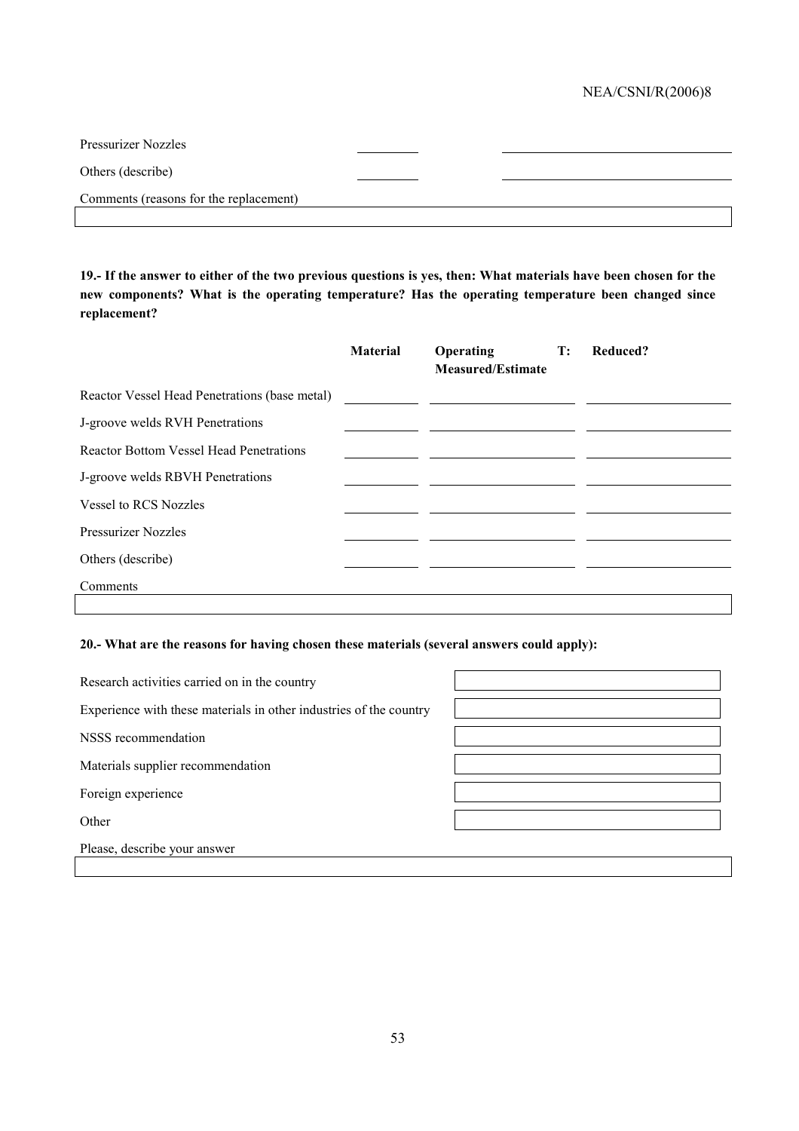| <b>Pressurizer Nozzles</b>             |  |
|----------------------------------------|--|
| Others (describe)                      |  |
| Comments (reasons for the replacement) |  |
|                                        |  |

**19.- If the answer to either of the two previous questions is yes, then: What materials have been chosen for the new components? What is the operating temperature? Has the operating temperature been changed since replacement?** 

|                                                | <b>Material</b> | Operating<br><b>Measured/Estimate</b> | $\mathbf{T}$ : | Reduced? |
|------------------------------------------------|-----------------|---------------------------------------|----------------|----------|
| Reactor Vessel Head Penetrations (base metal)  |                 |                                       |                |          |
| J-groove welds RVH Penetrations                |                 |                                       |                |          |
| <b>Reactor Bottom Vessel Head Penetrations</b> |                 |                                       |                |          |
| J-groove welds RBVH Penetrations               |                 |                                       |                |          |
| <b>Vessel to RCS Nozzles</b>                   |                 |                                       |                |          |
| <b>Pressurizer Nozzles</b>                     |                 |                                       |                |          |
| Others (describe)                              |                 |                                       |                |          |
| Comments                                       |                 |                                       |                |          |

## **20.- What are the reasons for having chosen these materials (several answers could apply):**

| Research activities carried on in the country                      |  |
|--------------------------------------------------------------------|--|
| Experience with these materials in other industries of the country |  |
| NSSS recommendation                                                |  |
| Materials supplier recommendation                                  |  |
| Foreign experience                                                 |  |
| Other                                                              |  |
| Please, describe your answer                                       |  |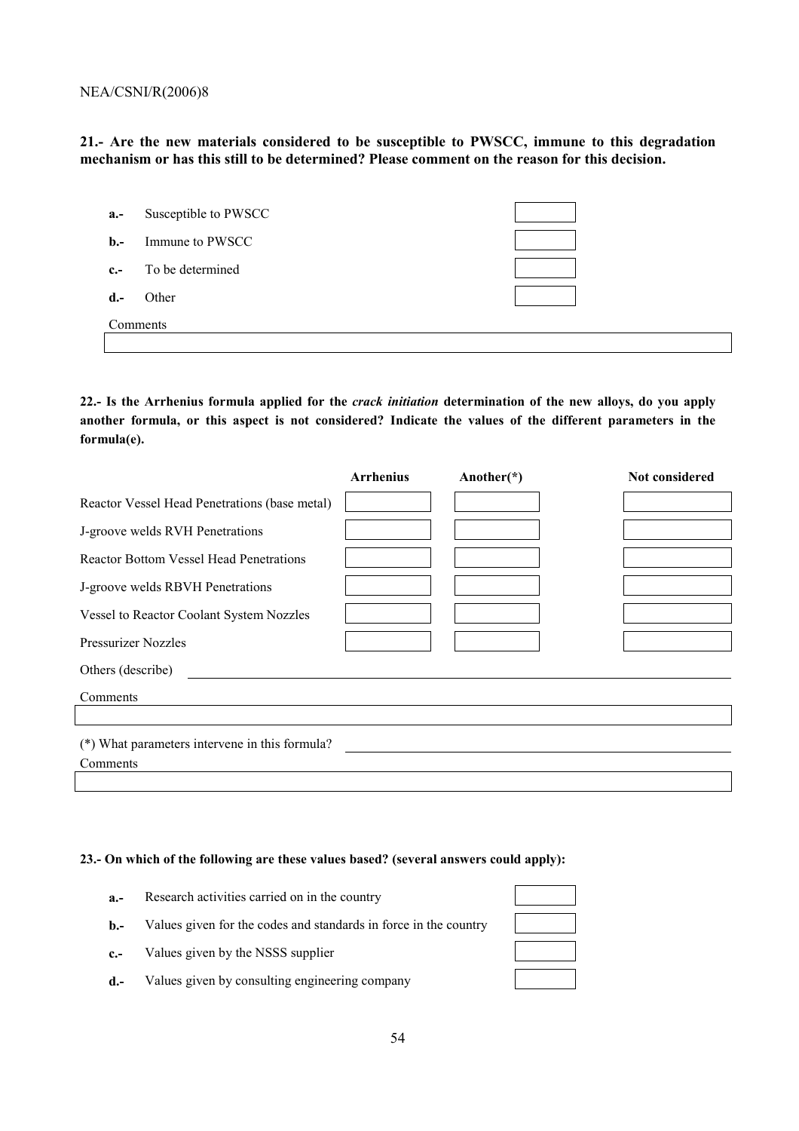**21.- Are the new materials considered to be susceptible to PWSCC, immune to this degradation mechanism or has this still to be determined? Please comment on the reason for this decision.** 

| $a.-$          | Susceptible to PWSCC |  |
|----------------|----------------------|--|
| $\mathbf{b}$ . | Immune to PWSCC      |  |
| $c$ -          | To be determined     |  |
| $d -$          | Other                |  |
|                | Comments             |  |
|                |                      |  |

**22.- Is the Arrhenius formula applied for the** *crack initiation* **determination of the new alloys, do you apply another formula, or this aspect is not considered? Indicate the values of the different parameters in the formula(e).** 

|                                                | <b>Arrhenius</b> | Another $(*)$ | Not considered |
|------------------------------------------------|------------------|---------------|----------------|
| Reactor Vessel Head Penetrations (base metal)  |                  |               |                |
| J-groove welds RVH Penetrations                |                  |               |                |
| <b>Reactor Bottom Vessel Head Penetrations</b> |                  |               |                |
| J-groove welds RBVH Penetrations               |                  |               |                |
| Vessel to Reactor Coolant System Nozzles       |                  |               |                |
| <b>Pressurizer Nozzles</b>                     |                  |               |                |
| Others (describe)                              |                  |               |                |
| Comments                                       |                  |               |                |
|                                                |                  |               |                |
| (*) What parameters intervene in this formula? |                  |               |                |
| Comments                                       |                  |               |                |
|                                                |                  |               |                |

#### **23.- On which of the following are these values based? (several answers could apply):**

| $a -$        | Research activities carried on in the country                    |  |
|--------------|------------------------------------------------------------------|--|
| $\mathbf{b}$ | Values given for the codes and standards in force in the country |  |
| $c_{-}$      | Values given by the NSSS supplier                                |  |
| $d.-$        | Values given by consulting engineering company                   |  |

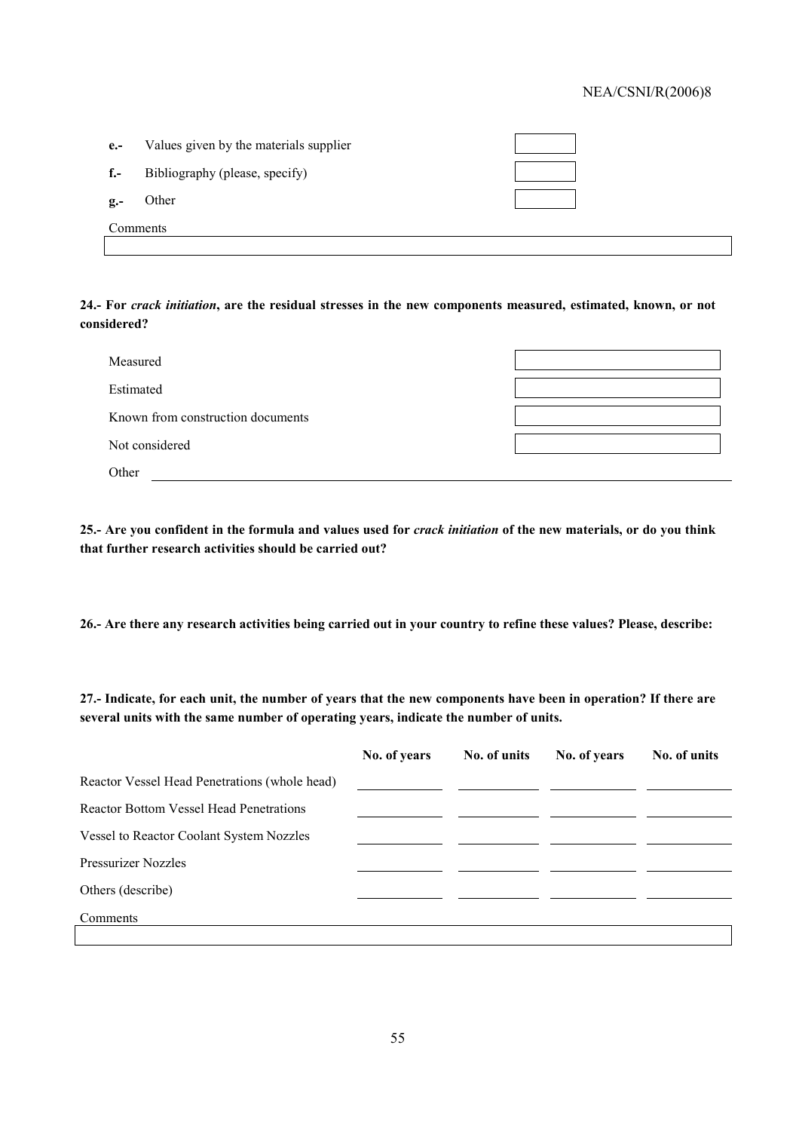| $e -$          | Values given by the materials supplier |  |
|----------------|----------------------------------------|--|
| $f -$          | Bibliography (please, specify)         |  |
| $\mathbf{g}$ . | Other                                  |  |
| Comments       |                                        |  |

**24.- For** *crack initiation***, are the residual stresses in the new components measured, estimated, known, or not considered?** 

| Measured                          |  |
|-----------------------------------|--|
| Estimated                         |  |
| Known from construction documents |  |
| Not considered                    |  |
| Other                             |  |

**25.- Are you confident in the formula and values used for** *crack initiation* **of the new materials, or do you think that further research activities should be carried out?** 

**26.- Are there any research activities being carried out in your country to refine these values? Please, describe:** 

**27.- Indicate, for each unit, the number of years that the new components have been in operation? If there are several units with the same number of operating years, indicate the number of units.** 

|                                                | No. of years | No. of units | No. of years | No. of units |
|------------------------------------------------|--------------|--------------|--------------|--------------|
| Reactor Vessel Head Penetrations (whole head)  |              |              |              |              |
| <b>Reactor Bottom Vessel Head Penetrations</b> |              |              |              |              |
| Vessel to Reactor Coolant System Nozzles       |              |              |              |              |
| <b>Pressurizer Nozzles</b>                     |              |              |              |              |
| Others (describe)                              |              |              |              |              |
| Comments                                       |              |              |              |              |
|                                                |              |              |              |              |